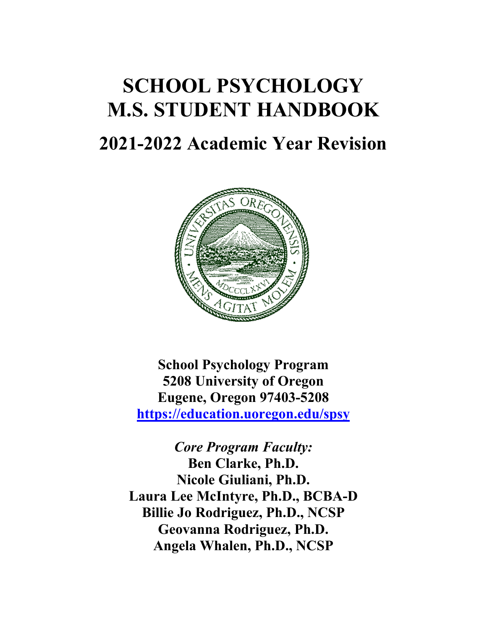# **SCHOOL PSYCHOLOGY M.S. STUDENT HANDBOOK**

# **2021-2022 Academic Year Revision**



**School Psychology Program 5208 University of Oregon Eugene, Oregon 97403-5208 https://education.uoregon.edu/spsy**

*Core Program Faculty:* **Ben Clarke, Ph.D. Nicole Giuliani, Ph.D. Laura Lee McIntyre, Ph.D., BCBA-D Billie Jo Rodriguez, Ph.D., NCSP Geovanna Rodriguez, Ph.D. Angela Whalen, Ph.D., NCSP**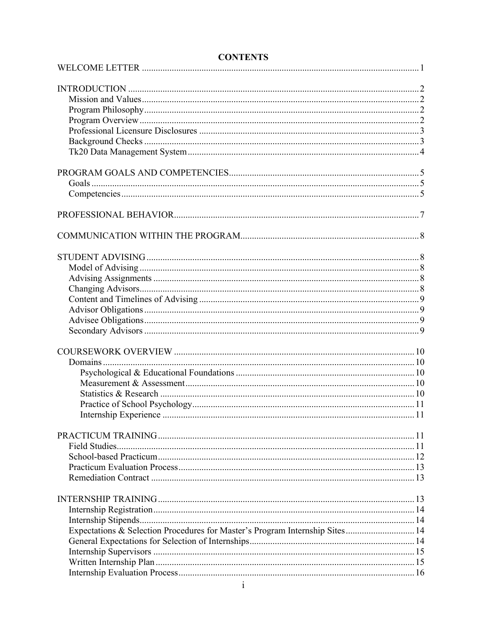| Expectations & Selection Procedures for Master's Program Internship Sites 14 |  |
|------------------------------------------------------------------------------|--|
|                                                                              |  |
|                                                                              |  |
|                                                                              |  |
|                                                                              |  |

# **CONTENTS**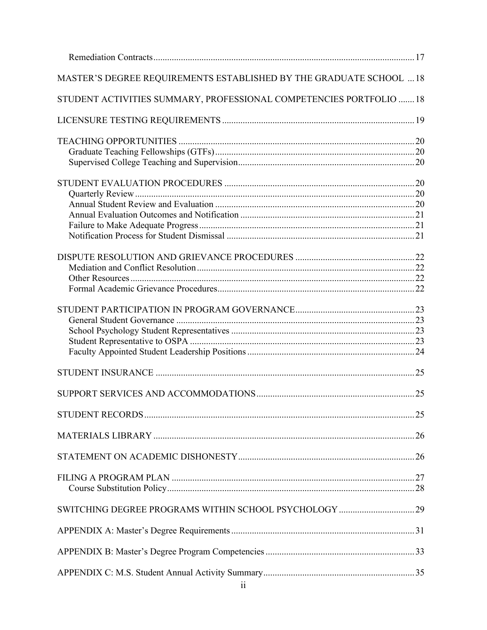| MASTER'S DEGREE REQUIREMENTS ESTABLISHED BY THE GRADUATE SCHOOL  18 |  |
|---------------------------------------------------------------------|--|
| STUDENT ACTIVITIES SUMMARY, PROFESSIONAL COMPETENCIES PORTFOLIO  18 |  |
|                                                                     |  |
|                                                                     |  |
|                                                                     |  |
|                                                                     |  |
|                                                                     |  |
|                                                                     |  |
|                                                                     |  |
|                                                                     |  |
|                                                                     |  |
|                                                                     |  |
|                                                                     |  |
|                                                                     |  |
|                                                                     |  |
|                                                                     |  |
|                                                                     |  |
|                                                                     |  |
|                                                                     |  |
|                                                                     |  |
|                                                                     |  |
|                                                                     |  |
|                                                                     |  |
|                                                                     |  |
|                                                                     |  |
|                                                                     |  |
|                                                                     |  |
|                                                                     |  |
|                                                                     |  |
|                                                                     |  |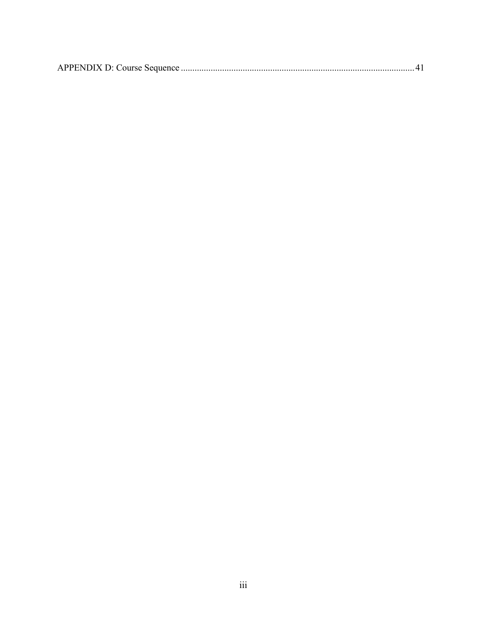|--|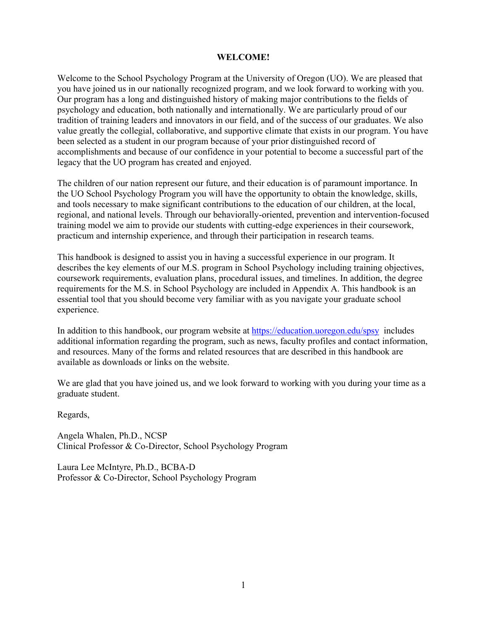#### **WELCOME!**

Welcome to the School Psychology Program at the University of Oregon (UO). We are pleased that you have joined us in our nationally recognized program, and we look forward to working with you. Our program has a long and distinguished history of making major contributions to the fields of psychology and education, both nationally and internationally. We are particularly proud of our tradition of training leaders and innovators in our field, and of the success of our graduates. We also value greatly the collegial, collaborative, and supportive climate that exists in our program. You have been selected as a student in our program because of your prior distinguished record of accomplishments and because of our confidence in your potential to become a successful part of the legacy that the UO program has created and enjoyed.

The children of our nation represent our future, and their education is of paramount importance. In the UO School Psychology Program you will have the opportunity to obtain the knowledge, skills, and tools necessary to make significant contributions to the education of our children, at the local, regional, and national levels. Through our behaviorally-oriented, prevention and intervention-focused training model we aim to provide our students with cutting-edge experiences in their coursework, practicum and internship experience, and through their participation in research teams.

This handbook is designed to assist you in having a successful experience in our program. It describes the key elements of our M.S. program in School Psychology including training objectives, coursework requirements, evaluation plans, procedural issues, and timelines. In addition, the degree requirements for the M.S. in School Psychology are included in Appendix A. This handbook is an essential tool that you should become very familiar with as you navigate your graduate school experience.

In addition to this handbook, our program website at https://education.uoregon.edu/spsy includes additional information regarding the program, such as news, faculty profiles and contact information, and resources. Many of the forms and related resources that are described in this handbook are available as downloads or links on the website.

We are glad that you have joined us, and we look forward to working with you during your time as a graduate student.

Regards,

Angela Whalen, Ph.D., NCSP Clinical Professor & Co-Director, School Psychology Program

Laura Lee McIntyre, Ph.D., BCBA-D Professor & Co-Director, School Psychology Program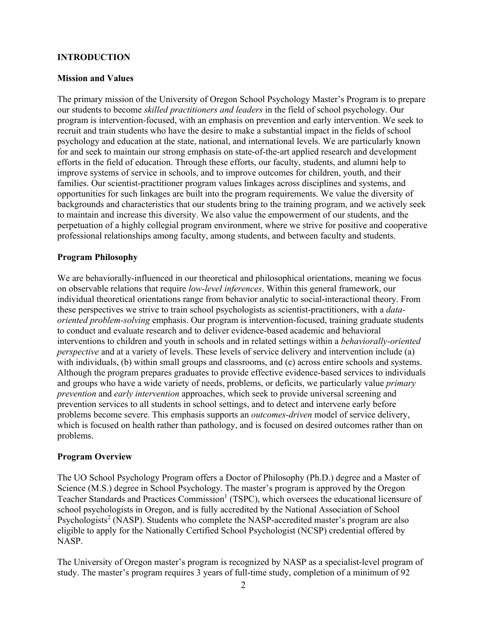#### **INTRODUCTION**

#### **Mission and Values**

The primary mission of the University of Oregon School Psychology Master's Program is to prepare our students to become *skilled practitioners and leaders* in the field of school psychology. Our program is intervention-focused, with an emphasis on prevention and early intervention. We seek to recruit and train students who have the desire to make a substantial impact in the fields of school psychology and education at the state, national, and international levels. We are particularly known for and seek to maintain our strong emphasis on state-of-the-art applied research and development efforts in the field of education. Through these efforts, our faculty, students, and alumni help to improve systems of service in schools, and to improve outcomes for children, youth, and their families. Our scientist-practitioner program values linkages across disciplines and systems, and opportunities for such linkages are built into the program requirements. We value the diversity of backgrounds and characteristics that our students bring to the training program, and we actively seek to maintain and increase this diversity. We also value the empowerment of our students, and the perpetuation of a highly collegial program environment, where we strive for positive and cooperative professional relationships among faculty, among students, and between faculty and students.

#### **Program Philosophy**

We are behaviorally-influenced in our theoretical and philosophical orientations, meaning we focus on observable relations that require *low-level inferences*. Within this general framework, our individual theoretical orientations range from behavior analytic to social-interactional theory. From these perspectives we strive to train school psychologists as scientist-practitioners, with a *dataoriented problem-solving* emphasis. Our program is intervention-focused, training graduate students to conduct and evaluate research and to deliver evidence-based academic and behavioral interventions to children and youth in schools and in related settings within a *behaviorally-oriented perspective* and at a variety of levels. These levels of service delivery and intervention include (a) with individuals, (b) within small groups and classrooms, and (c) across entire schools and systems. Although the program prepares graduates to provide effective evidence-based services to individuals and groups who have a wide variety of needs, problems, or deficits, we particularly value *primary prevention* and *early intervention* approaches, which seek to provide universal screening and prevention services to all students in school settings, and to detect and intervene early before problems become severe. This emphasis supports an *outcomes-driven* model of service delivery, which is focused on health rather than pathology, and is focused on desired outcomes rather than on problems.

#### **Program Overview**

The UO School Psychology Program offers a Doctor of Philosophy (Ph.D.) degree and a Master of Science (M.S.) degree in School Psychology. The master's program is approved by the Oregon Teacher Standards and Practices Commission<sup>1</sup> (TSPC), which oversees the educational licensure of school psychologists in Oregon, and is fully accredited by the National Association of School Psychologists<sup>2</sup> (NASP). Students who complete the NASP-accredited master's program are also eligible to apply for the Nationally Certified School Psychologist (NCSP) credential offered by NASP.

The University of Oregon master's program is recognized by NASP as a specialist-level program of study. The master's program requires 3 years of full-time study, completion of a minimum of 92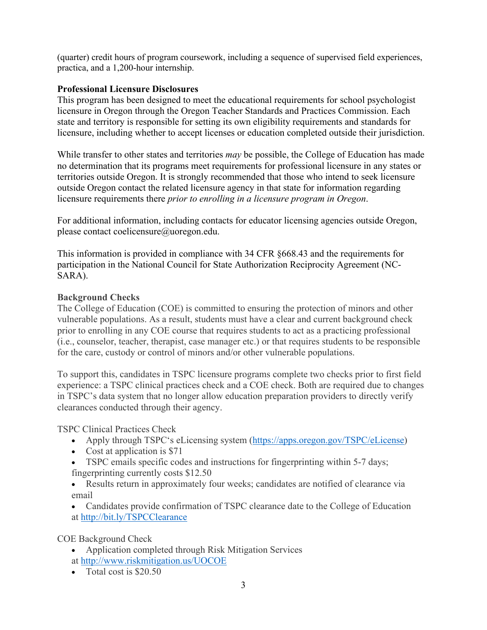(quarter) credit hours of program coursework, including a sequence of supervised field experiences, practica, and a 1,200-hour internship.

# **Professional Licensure Disclosures**

This program has been designed to meet the educational requirements for school psychologist licensure in Oregon through the Oregon Teacher Standards and Practices Commission. Each state and territory is responsible for setting its own eligibility requirements and standards for licensure, including whether to accept licenses or education completed outside their jurisdiction.

While transfer to other states and territories *may* be possible, the College of Education has made no determination that its programs meet requirements for professional licensure in any states or territories outside Oregon. It is strongly recommended that those who intend to seek licensure outside Oregon contact the related licensure agency in that state for information regarding licensure requirements there *prior to enrolling in a licensure program in Oregon*.

For additional information, including contacts for educator licensing agencies outside Oregon, please contact coelicensure@uoregon.edu.

This information is provided in compliance with 34 CFR §668.43 and the requirements for participation in the National Council for State Authorization Reciprocity Agreement (NC-SARA).

# **Background Checks**

The College of Education (COE) is committed to ensuring the protection of minors and other vulnerable populations. As a result, students must have a clear and current background check prior to enrolling in any COE course that requires students to act as a practicing professional (i.e., counselor, teacher, therapist, case manager etc.) or that requires students to be responsible for the care, custody or control of minors and/or other vulnerable populations.

To support this, candidates in TSPC licensure programs complete two checks prior to first field experience: a TSPC clinical practices check and a COE check. Both are required due to changes in TSPC's data system that no longer allow education preparation providers to directly verify clearances conducted through their agency.

TSPC Clinical Practices Check

- Apply through TSPC's eLicensing system (https://apps.oregon.gov/TSPC/eLicense)
- Cost at application is \$71
- TSPC emails specific codes and instructions for fingerprinting within 5-7 days; fingerprinting currently costs \$12.50

• Results return in approximately four weeks; candidates are notified of clearance via email

• Candidates provide confirmation of TSPC clearance date to the College of Education at http://bit.ly/TSPCClearance

COE Background Check

- Application completed through Risk Mitigation Services at http://www.riskmitigation.us/UOCOE
- Total cost is \$20.50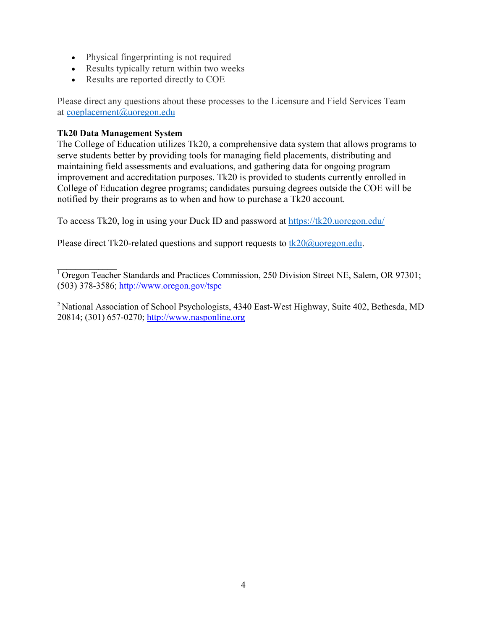- Physical fingerprinting is not required
- Results typically return within two weeks
- Results are reported directly to COE

Please direct any questions about these processes to the Licensure and Field Services Team at coeplacement@uoregon.edu

# **Tk20 Data Management System**

The College of Education utilizes Tk20, a comprehensive data system that allows programs to serve students better by providing tools for managing field placements, distributing and maintaining field assessments and evaluations, and gathering data for ongoing program improvement and accreditation purposes. Tk20 is provided to students currently enrolled in College of Education degree programs; candidates pursuing degrees outside the COE will be notified by their programs as to when and how to purchase a Tk20 account.

To access Tk20, log in using your Duck ID and password at https://tk20.uoregon.edu/

Please direct Tk20-related questions and support requests to  $tk20@$ uoregon.edu.

 $\mathcal{L}=\mathcal{L}$  $\overline{1}$  Oregon Teacher Standards and Practices Commission, 250 Division Street NE, Salem, OR 97301; (503) 378-3586; http://www.oregon.gov/tspc

<sup>2</sup> National Association of School Psychologists, 4340 East-West Highway, Suite 402, Bethesda, MD 20814; (301) 657-0270; http://www.nasponline.org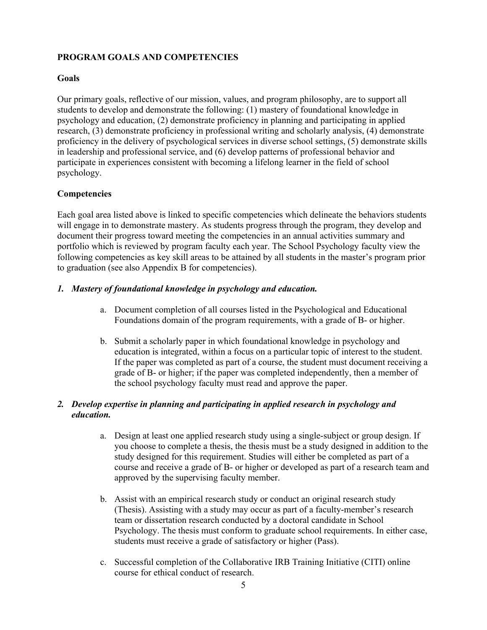# **PROGRAM GOALS AND COMPETENCIES**

# **Goals**

Our primary goals, reflective of our mission, values, and program philosophy, are to support all students to develop and demonstrate the following: (1) mastery of foundational knowledge in psychology and education, (2) demonstrate proficiency in planning and participating in applied research, (3) demonstrate proficiency in professional writing and scholarly analysis, (4) demonstrate proficiency in the delivery of psychological services in diverse school settings, (5) demonstrate skills in leadership and professional service, and (6) develop patterns of professional behavior and participate in experiences consistent with becoming a lifelong learner in the field of school psychology.

#### **Competencies**

Each goal area listed above is linked to specific competencies which delineate the behaviors students will engage in to demonstrate mastery. As students progress through the program, they develop and document their progress toward meeting the competencies in an annual activities summary and portfolio which is reviewed by program faculty each year. The School Psychology faculty view the following competencies as key skill areas to be attained by all students in the master's program prior to graduation (see also Appendix B for competencies).

# *1. Mastery of foundational knowledge in psychology and education.*

- a. Document completion of all courses listed in the Psychological and Educational Foundations domain of the program requirements, with a grade of B- or higher.
- b. Submit a scholarly paper in which foundational knowledge in psychology and education is integrated, within a focus on a particular topic of interest to the student. If the paper was completed as part of a course, the student must document receiving a grade of B- or higher; if the paper was completed independently, then a member of the school psychology faculty must read and approve the paper.

#### *2. Develop expertise in planning and participating in applied research in psychology and education.*

- a. Design at least one applied research study using a single-subject or group design. If you choose to complete a thesis, the thesis must be a study designed in addition to the study designed for this requirement. Studies will either be completed as part of a course and receive a grade of B- or higher or developed as part of a research team and approved by the supervising faculty member.
- b. Assist with an empirical research study or conduct an original research study (Thesis). Assisting with a study may occur as part of a faculty-member's research team or dissertation research conducted by a doctoral candidate in School Psychology. The thesis must conform to graduate school requirements. In either case, students must receive a grade of satisfactory or higher (Pass).
- c. Successful completion of the Collaborative IRB Training Initiative (CITI) online course for ethical conduct of research.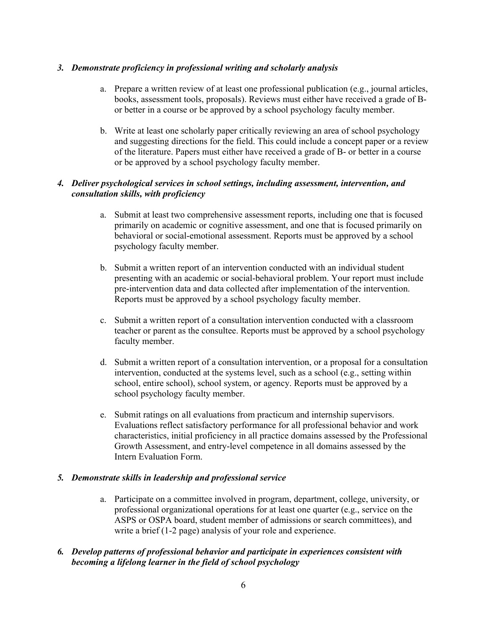# *3. Demonstrate proficiency in professional writing and scholarly analysis*

- a. Prepare a written review of at least one professional publication (e.g., journal articles, books, assessment tools, proposals). Reviews must either have received a grade of Bor better in a course or be approved by a school psychology faculty member.
- b. Write at least one scholarly paper critically reviewing an area of school psychology and suggesting directions for the field. This could include a concept paper or a review of the literature. Papers must either have received a grade of B- or better in a course or be approved by a school psychology faculty member.

# *4. Deliver psychological services in school settings, including assessment, intervention, and consultation skills, with proficiency*

- a. Submit at least two comprehensive assessment reports, including one that is focused primarily on academic or cognitive assessment, and one that is focused primarily on behavioral or social-emotional assessment. Reports must be approved by a school psychology faculty member.
- b. Submit a written report of an intervention conducted with an individual student presenting with an academic or social-behavioral problem. Your report must include pre-intervention data and data collected after implementation of the intervention. Reports must be approved by a school psychology faculty member.
- c. Submit a written report of a consultation intervention conducted with a classroom teacher or parent as the consultee. Reports must be approved by a school psychology faculty member.
- d. Submit a written report of a consultation intervention, or a proposal for a consultation intervention, conducted at the systems level, such as a school (e.g., setting within school, entire school), school system, or agency. Reports must be approved by a school psychology faculty member.
- e. Submit ratings on all evaluations from practicum and internship supervisors. Evaluations reflect satisfactory performance for all professional behavior and work characteristics, initial proficiency in all practice domains assessed by the Professional Growth Assessment, and entry-level competence in all domains assessed by the Intern Evaluation Form.

#### *5. Demonstrate skills in leadership and professional service*

a. Participate on a committee involved in program, department, college, university, or professional organizational operations for at least one quarter (e.g., service on the ASPS or OSPA board, student member of admissions or search committees), and write a brief (1-2 page) analysis of your role and experience.

# *6. Develop patterns of professional behavior and participate in experiences consistent with becoming a lifelong learner in the field of school psychology*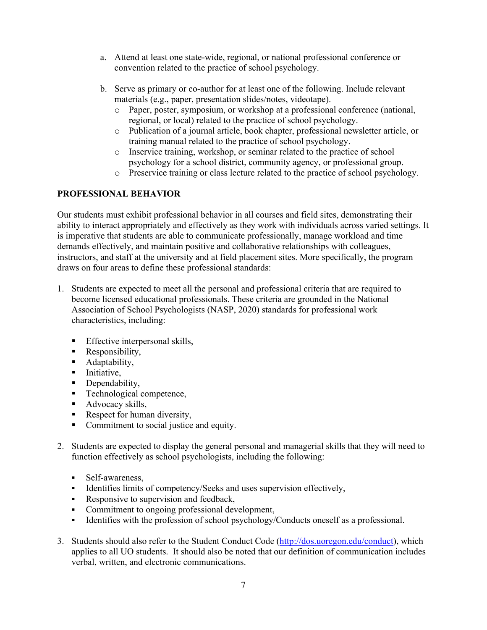- a. Attend at least one state-wide, regional, or national professional conference or convention related to the practice of school psychology.
- b. Serve as primary or co-author for at least one of the following. Include relevant materials (e.g., paper, presentation slides/notes, videotape).
	- o Paper, poster, symposium, or workshop at a professional conference (national, regional, or local) related to the practice of school psychology.
	- o Publication of a journal article, book chapter, professional newsletter article, or training manual related to the practice of school psychology.
	- o Inservice training, workshop, or seminar related to the practice of school psychology for a school district, community agency, or professional group.
	- o Preservice training or class lecture related to the practice of school psychology.

# **PROFESSIONAL BEHAVIOR**

Our students must exhibit professional behavior in all courses and field sites, demonstrating their ability to interact appropriately and effectively as they work with individuals across varied settings. It is imperative that students are able to communicate professionally, manage workload and time demands effectively, and maintain positive and collaborative relationships with colleagues, instructors, and staff at the university and at field placement sites. More specifically, the program draws on four areas to define these professional standards:

- 1. Students are expected to meet all the personal and professional criteria that are required to become licensed educational professionals. These criteria are grounded in the National Association of School Psychologists (NASP, 2020) standards for professional work characteristics, including:
	- **Effective interpersonal skills,**
	- Responsibility,
	- **Adaptability,**
	- **Initiative,**
	- Dependability,
	- **Technological competence,**
	- Advocacy skills,
	- Respect for human diversity,
	- Commitment to social justice and equity.
- 2. Students are expected to display the general personal and managerial skills that they will need to function effectively as school psychologists, including the following:
	- Self-awareness,
	- Identifies limits of competency/Seeks and uses supervision effectively,
	- Responsive to supervision and feedback,
	- Commitment to ongoing professional development,
	- Identifies with the profession of school psychology/Conducts oneself as a professional.
- 3. Students should also refer to the Student Conduct Code (http://dos.uoregon.edu/conduct), which applies to all UO students. It should also be noted that our definition of communication includes verbal, written, and electronic communications.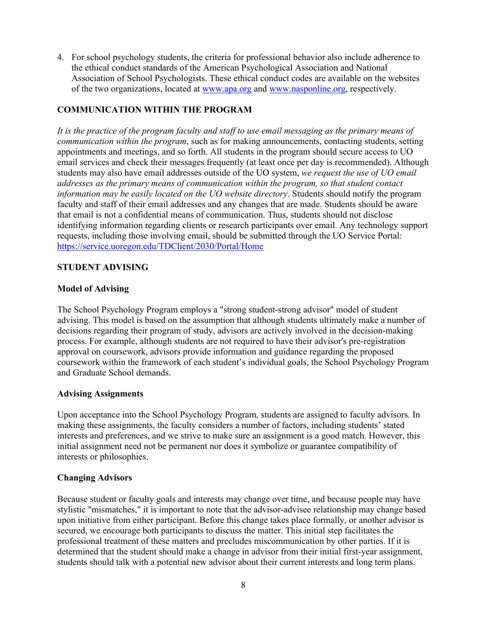4. For school psychology students, the criteria for professional behavior also include adherence to the ethical conduct standards of the American Psychological Association and National Association of School Psychologists. These ethical conduct codes are available on the websites of the two organizations, located at www.apa.org and www.nasponline.org, respectively.

# **COMMUNICATION WITHIN THE PROGRAM**

*It is the practice of the program faculty and staff to use email messaging as the primary means of communication within the program*, such as for making announcements, contacting students, setting appointments and meetings, and so forth. All students in the program should secure access to UO email services and check their messages frequently (at least once per day is recommended). Although students may also have email addresses outside of the UO system, *we request the use of UO email addresses as the primary means of communication within the program, so that student contact information may be easily located on the UO website directory*. Students should notify the program faculty and staff of their email addresses and any changes that are made. Students should be aware that email is not a confidential means of communication. Thus, students should not disclose identifying information regarding clients or research participants over email. Any technology support requests, including those involving email, should be submitted through the UO Service Portal: https://service.uoregon.edu/TDClient/2030/Portal/Home

#### **STUDENT ADVISING**

#### **Model of Advising**

The School Psychology Program employs a "strong student-strong advisor" model of student advising. This model is based on the assumption that although students ultimately make a number of decisions regarding their program of study, advisors are actively involved in the decision-making process. For example, although students are not required to have their advisor's pre-registration approval on coursework, advisors provide information and guidance regarding the proposed coursework within the framework of each student's individual goals, the School Psychology Program and Graduate School demands.

#### **Advising Assignments**

Upon acceptance into the School Psychology Program, students are assigned to faculty advisors. In making these assignments, the faculty considers a number of factors, including students' stated interests and preferences, and we strive to make sure an assignment is a good match. However, this initial assignment need not be permanent nor does it symbolize or guarantee compatibility of interests or philosophies.

#### **Changing Advisors**

Because student or faculty goals and interests may change over time, and because people may have stylistic "mismatches," it is important to note that the advisor-advisee relationship may change based upon initiative from either participant. Before this change takes place formally, or another advisor is secured, we encourage both participants to discuss the matter. This initial step facilitates the professional treatment of these matters and precludes miscommunication by other parties. If it is determined that the student should make a change in advisor from their initial first-year assignment, students should talk with a potential new advisor about their current interests and long term plans.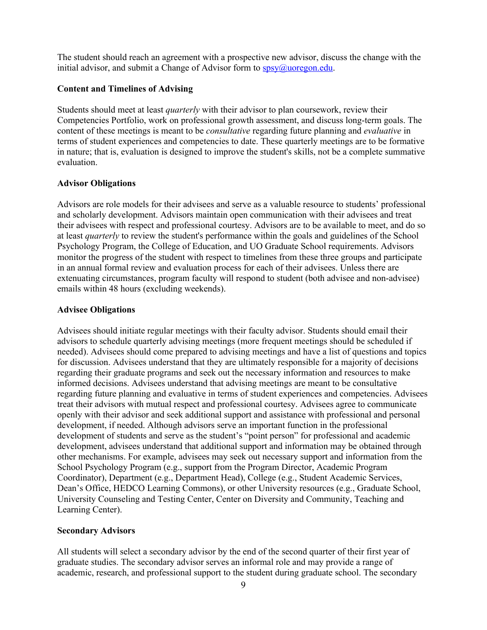The student should reach an agreement with a prospective new advisor, discuss the change with the initial advisor, and submit a Change of Advisor form to  $\frac{sys}{a}$ uoregon.edu.

#### **Content and Timelines of Advising**

Students should meet at least *quarterly* with their advisor to plan coursework, review their Competencies Portfolio, work on professional growth assessment, and discuss long-term goals. The content of these meetings is meant to be *consultative* regarding future planning and *evaluative* in terms of student experiences and competencies to date. These quarterly meetings are to be formative in nature; that is, evaluation is designed to improve the student's skills, not be a complete summative evaluation.

#### **Advisor Obligations**

Advisors are role models for their advisees and serve as a valuable resource to students' professional and scholarly development. Advisors maintain open communication with their advisees and treat their advisees with respect and professional courtesy. Advisors are to be available to meet, and do so at least *quarterly* to review the student's performance within the goals and guidelines of the School Psychology Program, the College of Education, and UO Graduate School requirements. Advisors monitor the progress of the student with respect to timelines from these three groups and participate in an annual formal review and evaluation process for each of their advisees. Unless there are extenuating circumstances, program faculty will respond to student (both advisee and non-advisee) emails within 48 hours (excluding weekends).

#### **Advisee Obligations**

Advisees should initiate regular meetings with their faculty advisor. Students should email their advisors to schedule quarterly advising meetings (more frequent meetings should be scheduled if needed). Advisees should come prepared to advising meetings and have a list of questions and topics for discussion. Advisees understand that they are ultimately responsible for a majority of decisions regarding their graduate programs and seek out the necessary information and resources to make informed decisions. Advisees understand that advising meetings are meant to be consultative regarding future planning and evaluative in terms of student experiences and competencies. Advisees treat their advisors with mutual respect and professional courtesy. Advisees agree to communicate openly with their advisor and seek additional support and assistance with professional and personal development, if needed. Although advisors serve an important function in the professional development of students and serve as the student's "point person" for professional and academic development, advisees understand that additional support and information may be obtained through other mechanisms. For example, advisees may seek out necessary support and information from the School Psychology Program (e.g., support from the Program Director, Academic Program Coordinator), Department (e.g., Department Head), College (e.g., Student Academic Services, Dean's Office, HEDCO Learning Commons), or other University resources (e.g., Graduate School, University Counseling and Testing Center, Center on Diversity and Community, Teaching and Learning Center).

#### **Secondary Advisors**

All students will select a secondary advisor by the end of the second quarter of their first year of graduate studies. The secondary advisor serves an informal role and may provide a range of academic, research, and professional support to the student during graduate school. The secondary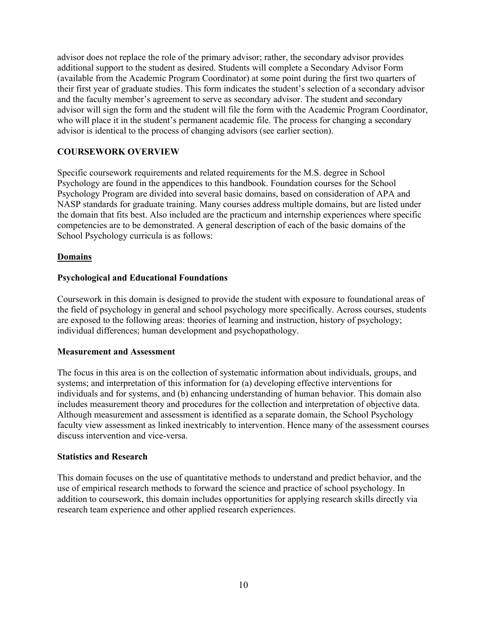advisor does not replace the role of the primary advisor; rather, the secondary advisor provides additional support to the student as desired. Students will complete a Secondary Advisor Form (available from the Academic Program Coordinator) at some point during the first two quarters of their first year of graduate studies. This form indicates the student's selection of a secondary advisor and the faculty member's agreement to serve as secondary advisor. The student and secondary advisor will sign the form and the student will file the form with the Academic Program Coordinator, who will place it in the student's permanent academic file. The process for changing a secondary advisor is identical to the process of changing advisors (see earlier section).

# **COURSEWORK OVERVIEW**

Specific coursework requirements and related requirements for the M.S. degree in School Psychology are found in the appendices to this handbook. Foundation courses for the School Psychology Program are divided into several basic domains, based on consideration of APA and NASP standards for graduate training. Many courses address multiple domains, but are listed under the domain that fits best. Also included are the practicum and internship experiences where specific competencies are to be demonstrated. A general description of each of the basic domains of the School Psychology curricula is as follows:

#### **Domains**

#### **Psychological and Educational Foundations**

Coursework in this domain is designed to provide the student with exposure to foundational areas of the field of psychology in general and school psychology more specifically. Across courses, students are exposed to the following areas: theories of learning and instruction, history of psychology; individual differences; human development and psychopathology.

#### **Measurement and Assessment**

The focus in this area is on the collection of systematic information about individuals, groups, and systems; and interpretation of this information for (a) developing effective interventions for individuals and for systems, and (b) enhancing understanding of human behavior. This domain also includes measurement theory and procedures for the collection and interpretation of objective data. Although measurement and assessment is identified as a separate domain, the School Psychology faculty view assessment as linked inextricably to intervention. Hence many of the assessment courses discuss intervention and vice-versa.

#### **Statistics and Research**

This domain focuses on the use of quantitative methods to understand and predict behavior, and the use of empirical research methods to forward the science and practice of school psychology. In addition to coursework, this domain includes opportunities for applying research skills directly via research team experience and other applied research experiences.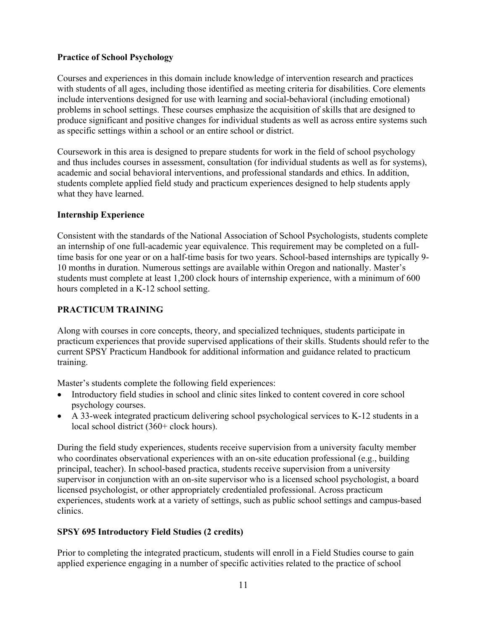# **Practice of School Psychology**

Courses and experiences in this domain include knowledge of intervention research and practices with students of all ages, including those identified as meeting criteria for disabilities. Core elements include interventions designed for use with learning and social-behavioral (including emotional) problems in school settings. These courses emphasize the acquisition of skills that are designed to produce significant and positive changes for individual students as well as across entire systems such as specific settings within a school or an entire school or district.

Coursework in this area is designed to prepare students for work in the field of school psychology and thus includes courses in assessment, consultation (for individual students as well as for systems), academic and social behavioral interventions, and professional standards and ethics. In addition, students complete applied field study and practicum experiences designed to help students apply what they have learned.

# **Internship Experience**

Consistent with the standards of the National Association of School Psychologists, students complete an internship of one full-academic year equivalence. This requirement may be completed on a fulltime basis for one year or on a half-time basis for two years. School-based internships are typically 9- 10 months in duration. Numerous settings are available within Oregon and nationally. Master's students must complete at least 1,200 clock hours of internship experience, with a minimum of 600 hours completed in a K-12 school setting.

# **PRACTICUM TRAINING**

Along with courses in core concepts, theory, and specialized techniques, students participate in practicum experiences that provide supervised applications of their skills. Students should refer to the current SPSY Practicum Handbook for additional information and guidance related to practicum training.

Master's students complete the following field experiences:

- Introductory field studies in school and clinic sites linked to content covered in core school psychology courses.
- A 33-week integrated practicum delivering school psychological services to K-12 students in a local school district (360+ clock hours).

During the field study experiences, students receive supervision from a university faculty member who coordinates observational experiences with an on-site education professional (e.g., building principal, teacher). In school-based practica, students receive supervision from a university supervisor in conjunction with an on-site supervisor who is a licensed school psychologist, a board licensed psychologist, or other appropriately credentialed professional. Across practicum experiences, students work at a variety of settings, such as public school settings and campus-based clinics.

# **SPSY 695 Introductory Field Studies (2 credits)**

Prior to completing the integrated practicum, students will enroll in a Field Studies course to gain applied experience engaging in a number of specific activities related to the practice of school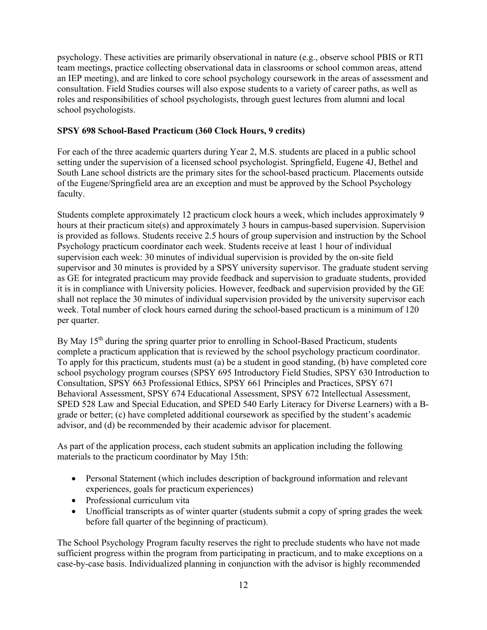psychology. These activities are primarily observational in nature (e.g., observe school PBIS or RTI team meetings, practice collecting observational data in classrooms or school common areas, attend an IEP meeting), and are linked to core school psychology coursework in the areas of assessment and consultation. Field Studies courses will also expose students to a variety of career paths, as well as roles and responsibilities of school psychologists, through guest lectures from alumni and local school psychologists.

# **SPSY 698 School-Based Practicum (360 Clock Hours, 9 credits)**

For each of the three academic quarters during Year 2, M.S. students are placed in a public school setting under the supervision of a licensed school psychologist. Springfield, Eugene 4J, Bethel and South Lane school districts are the primary sites for the school-based practicum. Placements outside of the Eugene/Springfield area are an exception and must be approved by the School Psychology faculty.

Students complete approximately 12 practicum clock hours a week, which includes approximately 9 hours at their practicum site(s) and approximately 3 hours in campus-based supervision. Supervision is provided as follows. Students receive 2.5 hours of group supervision and instruction by the School Psychology practicum coordinator each week. Students receive at least 1 hour of individual supervision each week: 30 minutes of individual supervision is provided by the on-site field supervisor and 30 minutes is provided by a SPSY university supervisor. The graduate student serving as GE for integrated practicum may provide feedback and supervision to graduate students, provided it is in compliance with University policies. However, feedback and supervision provided by the GE shall not replace the 30 minutes of individual supervision provided by the university supervisor each week. Total number of clock hours earned during the school-based practicum is a minimum of 120 per quarter.

By May 15<sup>th</sup> during the spring quarter prior to enrolling in School-Based Practicum, students complete a practicum application that is reviewed by the school psychology practicum coordinator. To apply for this practicum, students must (a) be a student in good standing, (b) have completed core school psychology program courses (SPSY 695 Introductory Field Studies, SPSY 630 Introduction to Consultation, SPSY 663 Professional Ethics, SPSY 661 Principles and Practices, SPSY 671 Behavioral Assessment, SPSY 674 Educational Assessment, SPSY 672 Intellectual Assessment, SPED 528 Law and Special Education, and SPED 540 Early Literacy for Diverse Learners) with a Bgrade or better; (c) have completed additional coursework as specified by the student's academic advisor, and (d) be recommended by their academic advisor for placement.

As part of the application process, each student submits an application including the following materials to the practicum coordinator by May 15th:

- Personal Statement (which includes description of background information and relevant experiences, goals for practicum experiences)
- Professional curriculum vita
- Unofficial transcripts as of winter quarter (students submit a copy of spring grades the week before fall quarter of the beginning of practicum).

The School Psychology Program faculty reserves the right to preclude students who have not made sufficient progress within the program from participating in practicum, and to make exceptions on a case-by-case basis. Individualized planning in conjunction with the advisor is highly recommended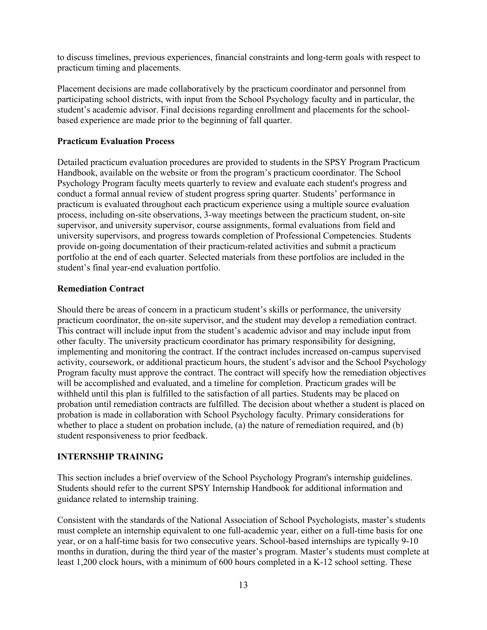to discuss timelines, previous experiences, financial constraints and long-term goals with respect to practicum timing and placements.

Placement decisions are made collaboratively by the practicum coordinator and personnel from participating school districts, with input from the School Psychology faculty and in particular, the student's academic advisor. Final decisions regarding enrollment and placements for the schoolbased experience are made prior to the beginning of fall quarter.

#### **Practicum Evaluation Process**

Detailed practicum evaluation procedures are provided to students in the SPSY Program Practicum Handbook, available on the website or from the program's practicum coordinator. The School Psychology Program faculty meets quarterly to review and evaluate each student's progress and conduct a formal annual review of student progress spring quarter. Students' performance in practicum is evaluated throughout each practicum experience using a multiple source evaluation process, including on-site observations, 3-way meetings between the practicum student, on-site supervisor, and university supervisor, course assignments, formal evaluations from field and university supervisors, and progress towards completion of Professional Competencies. Students provide on-going documentation of their practicum-related activities and submit a practicum portfolio at the end of each quarter. Selected materials from these portfolios are included in the student's final year-end evaluation portfolio.

# **Remediation Contract**

Should there be areas of concern in a practicum student's skills or performance, the university practicum coordinator, the on-site supervisor, and the student may develop a remediation contract. This contract will include input from the student's academic advisor and may include input from other faculty. The university practicum coordinator has primary responsibility for designing, implementing and monitoring the contract. If the contract includes increased on-campus supervised activity, coursework, or additional practicum hours, the student's advisor and the School Psychology Program faculty must approve the contract. The contract will specify how the remediation objectives will be accomplished and evaluated, and a timeline for completion. Practicum grades will be withheld until this plan is fulfilled to the satisfaction of all parties. Students may be placed on probation until remediation contracts are fulfilled. The decision about whether a student is placed on probation is made in collaboration with School Psychology faculty. Primary considerations for whether to place a student on probation include, (a) the nature of remediation required, and (b) student responsiveness to prior feedback.

# **INTERNSHIP TRAINING**

This section includes a brief overview of the School Psychology Program's internship guidelines. Students should refer to the current SPSY Internship Handbook for additional information and guidance related to internship training.

Consistent with the standards of the National Association of School Psychologists, master's students must complete an internship equivalent to one full-academic year, either on a full-time basis for one year, or on a half-time basis for two consecutive years. School-based internships are typically 9-10 months in duration, during the third year of the master's program. Master's students must complete at least 1,200 clock hours, with a minimum of 600 hours completed in a K-12 school setting. These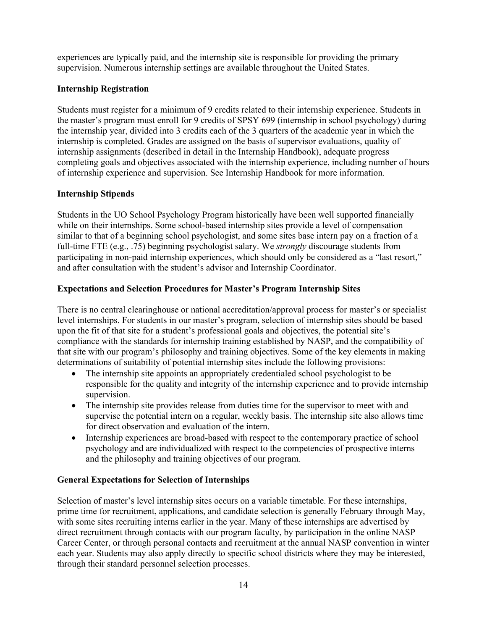experiences are typically paid, and the internship site is responsible for providing the primary supervision. Numerous internship settings are available throughout the United States.

# **Internship Registration**

Students must register for a minimum of 9 credits related to their internship experience. Students in the master's program must enroll for 9 credits of SPSY 699 (internship in school psychology) during the internship year, divided into 3 credits each of the 3 quarters of the academic year in which the internship is completed. Grades are assigned on the basis of supervisor evaluations, quality of internship assignments (described in detail in the Internship Handbook), adequate progress completing goals and objectives associated with the internship experience, including number of hours of internship experience and supervision. See Internship Handbook for more information.

# **Internship Stipends**

Students in the UO School Psychology Program historically have been well supported financially while on their internships. Some school-based internship sites provide a level of compensation similar to that of a beginning school psychologist, and some sites base intern pay on a fraction of a full-time FTE (e.g., .75) beginning psychologist salary. We *strongly* discourage students from participating in non-paid internship experiences, which should only be considered as a "last resort," and after consultation with the student's advisor and Internship Coordinator.

# **Expectations and Selection Procedures for Master's Program Internship Sites**

There is no central clearinghouse or national accreditation/approval process for master's or specialist level internships. For students in our master's program, selection of internship sites should be based upon the fit of that site for a student's professional goals and objectives, the potential site's compliance with the standards for internship training established by NASP, and the compatibility of that site with our program's philosophy and training objectives. Some of the key elements in making determinations of suitability of potential internship sites include the following provisions:

- The internship site appoints an appropriately credentialed school psychologist to be responsible for the quality and integrity of the internship experience and to provide internship supervision.
- The internship site provides release from duties time for the supervisor to meet with and supervise the potential intern on a regular, weekly basis. The internship site also allows time for direct observation and evaluation of the intern.
- Internship experiences are broad-based with respect to the contemporary practice of school psychology and are individualized with respect to the competencies of prospective interns and the philosophy and training objectives of our program.

#### **General Expectations for Selection of Internships**

Selection of master's level internship sites occurs on a variable timetable. For these internships, prime time for recruitment, applications, and candidate selection is generally February through May, with some sites recruiting interns earlier in the year. Many of these internships are advertised by direct recruitment through contacts with our program faculty, by participation in the online NASP Career Center, or through personal contacts and recruitment at the annual NASP convention in winter each year. Students may also apply directly to specific school districts where they may be interested, through their standard personnel selection processes.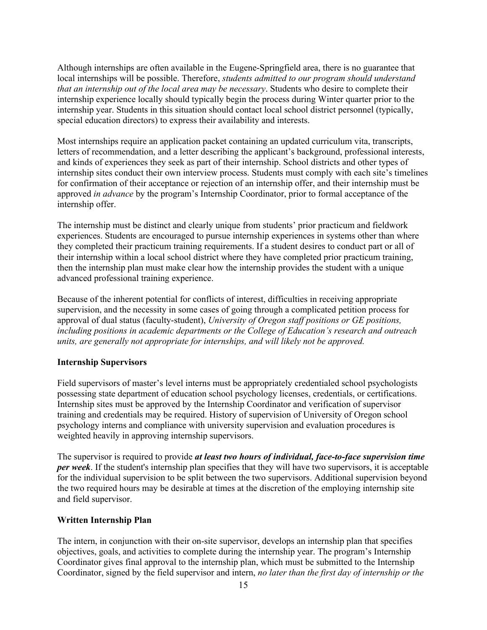Although internships are often available in the Eugene-Springfield area, there is no guarantee that local internships will be possible. Therefore, *students admitted to our program should understand that an internship out of the local area may be necessary*. Students who desire to complete their internship experience locally should typically begin the process during Winter quarter prior to the internship year. Students in this situation should contact local school district personnel (typically, special education directors) to express their availability and interests.

Most internships require an application packet containing an updated curriculum vita, transcripts, letters of recommendation, and a letter describing the applicant's background, professional interests, and kinds of experiences they seek as part of their internship. School districts and other types of internship sites conduct their own interview process. Students must comply with each site's timelines for confirmation of their acceptance or rejection of an internship offer, and their internship must be approved *in advance* by the program's Internship Coordinator, prior to formal acceptance of the internship offer.

The internship must be distinct and clearly unique from students' prior practicum and fieldwork experiences. Students are encouraged to pursue internship experiences in systems other than where they completed their practicum training requirements. If a student desires to conduct part or all of their internship within a local school district where they have completed prior practicum training, then the internship plan must make clear how the internship provides the student with a unique advanced professional training experience.

Because of the inherent potential for conflicts of interest, difficulties in receiving appropriate supervision, and the necessity in some cases of going through a complicated petition process for approval of dual status (faculty-student), *University of Oregon staff positions or GE positions, including positions in academic departments or the College of Education's research and outreach units, are generally not appropriate for internships, and will likely not be approved.*

#### **Internship Supervisors**

Field supervisors of master's level interns must be appropriately credentialed school psychologists possessing state department of education school psychology licenses, credentials, or certifications. Internship sites must be approved by the Internship Coordinator and verification of supervisor training and credentials may be required. History of supervision of University of Oregon school psychology interns and compliance with university supervision and evaluation procedures is weighted heavily in approving internship supervisors.

The supervisor is required to provide *at least two hours of individual, face-to-face supervision time per week*. If the student's internship plan specifies that they will have two supervisors, it is acceptable for the individual supervision to be split between the two supervisors. Additional supervision beyond the two required hours may be desirable at times at the discretion of the employing internship site and field supervisor.

#### **Written Internship Plan**

The intern, in conjunction with their on-site supervisor, develops an internship plan that specifies objectives, goals, and activities to complete during the internship year. The program's Internship Coordinator gives final approval to the internship plan, which must be submitted to the Internship Coordinator, signed by the field supervisor and intern, *no later than the first day of internship or the*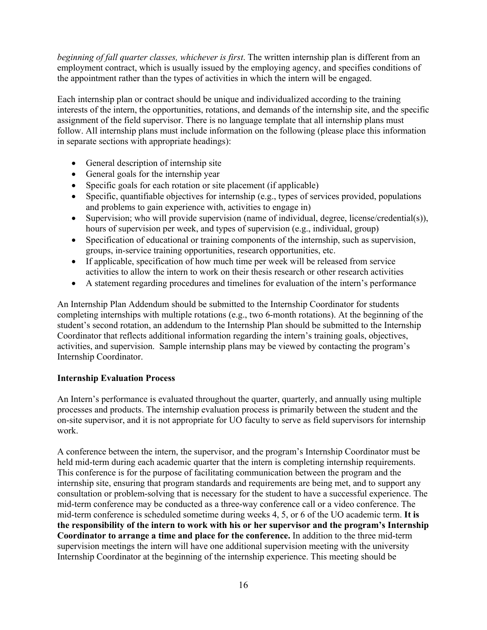*beginning of fall quarter classes, whichever is first*. The written internship plan is different from an employment contract, which is usually issued by the employing agency, and specifies conditions of the appointment rather than the types of activities in which the intern will be engaged.

Each internship plan or contract should be unique and individualized according to the training interests of the intern, the opportunities, rotations, and demands of the internship site, and the specific assignment of the field supervisor. There is no language template that all internship plans must follow. All internship plans must include information on the following (please place this information in separate sections with appropriate headings):

- General description of internship site
- General goals for the internship year
- Specific goals for each rotation or site placement (if applicable)
- Specific, quantifiable objectives for internship (e.g., types of services provided, populations and problems to gain experience with, activities to engage in)
- Supervision; who will provide supervision (name of individual, degree, license/credential(s)), hours of supervision per week, and types of supervision (e.g., individual, group)
- Specification of educational or training components of the internship, such as supervision, groups, in-service training opportunities, research opportunities, etc.
- If applicable, specification of how much time per week will be released from service activities to allow the intern to work on their thesis research or other research activities
- A statement regarding procedures and timelines for evaluation of the intern's performance

An Internship Plan Addendum should be submitted to the Internship Coordinator for students completing internships with multiple rotations (e.g., two 6-month rotations). At the beginning of the student's second rotation, an addendum to the Internship Plan should be submitted to the Internship Coordinator that reflects additional information regarding the intern's training goals, objectives, activities, and supervision. Sample internship plans may be viewed by contacting the program's Internship Coordinator.

#### **Internship Evaluation Process**

An Intern's performance is evaluated throughout the quarter, quarterly, and annually using multiple processes and products. The internship evaluation process is primarily between the student and the on-site supervisor, and it is not appropriate for UO faculty to serve as field supervisors for internship work.

A conference between the intern, the supervisor, and the program's Internship Coordinator must be held mid-term during each academic quarter that the intern is completing internship requirements. This conference is for the purpose of facilitating communication between the program and the internship site, ensuring that program standards and requirements are being met, and to support any consultation or problem-solving that is necessary for the student to have a successful experience. The mid-term conference may be conducted as a three-way conference call or a video conference. The mid-term conference is scheduled sometime during weeks 4, 5, or 6 of the UO academic term. **It is the responsibility of the intern to work with his or her supervisor and the program's Internship Coordinator to arrange a time and place for the conference.** In addition to the three mid-term supervision meetings the intern will have one additional supervision meeting with the university Internship Coordinator at the beginning of the internship experience. This meeting should be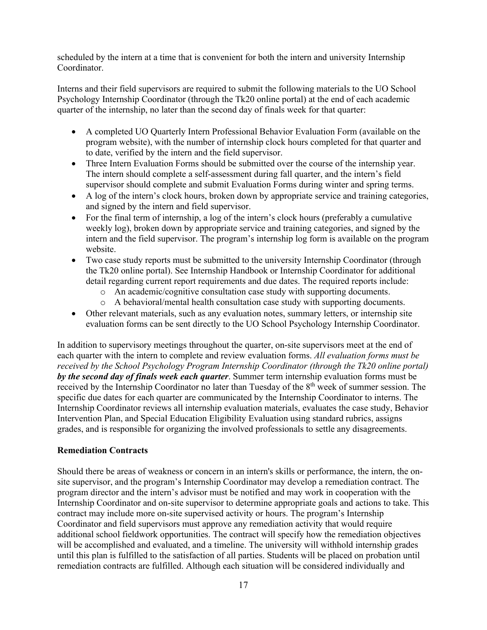scheduled by the intern at a time that is convenient for both the intern and university Internship Coordinator.

Interns and their field supervisors are required to submit the following materials to the UO School Psychology Internship Coordinator (through the Tk20 online portal) at the end of each academic quarter of the internship, no later than the second day of finals week for that quarter:

- A completed UO Quarterly Intern Professional Behavior Evaluation Form (available on the program website), with the number of internship clock hours completed for that quarter and to date, verified by the intern and the field supervisor.
- Three Intern Evaluation Forms should be submitted over the course of the internship year. The intern should complete a self-assessment during fall quarter, and the intern's field supervisor should complete and submit Evaluation Forms during winter and spring terms.
- A log of the intern's clock hours, broken down by appropriate service and training categories, and signed by the intern and field supervisor.
- For the final term of internship, a log of the intern's clock hours (preferably a cumulative weekly log), broken down by appropriate service and training categories, and signed by the intern and the field supervisor. The program's internship log form is available on the program website.
- Two case study reports must be submitted to the university Internship Coordinator (through the Tk20 online portal). See Internship Handbook or Internship Coordinator for additional detail regarding current report requirements and due dates. The required reports include:
	- o An academic/cognitive consultation case study with supporting documents.
	- o A behavioral/mental health consultation case study with supporting documents.
- Other relevant materials, such as any evaluation notes, summary letters, or internship site evaluation forms can be sent directly to the UO School Psychology Internship Coordinator.

In addition to supervisory meetings throughout the quarter, on-site supervisors meet at the end of each quarter with the intern to complete and review evaluation forms. *All evaluation forms must be received by the School Psychology Program Internship Coordinator (through the Tk20 online portal) by the second day of finals week each quarter*. Summer term internship evaluation forms must be received by the Internship Coordinator no later than Tuesday of the 8<sup>th</sup> week of summer session. The specific due dates for each quarter are communicated by the Internship Coordinator to interns. The Internship Coordinator reviews all internship evaluation materials, evaluates the case study, Behavior Intervention Plan, and Special Education Eligibility Evaluation using standard rubrics, assigns grades, and is responsible for organizing the involved professionals to settle any disagreements.

#### **Remediation Contracts**

Should there be areas of weakness or concern in an intern's skills or performance, the intern, the onsite supervisor, and the program's Internship Coordinator may develop a remediation contract. The program director and the intern's advisor must be notified and may work in cooperation with the Internship Coordinator and on-site supervisor to determine appropriate goals and actions to take. This contract may include more on-site supervised activity or hours. The program's Internship Coordinator and field supervisors must approve any remediation activity that would require additional school fieldwork opportunities. The contract will specify how the remediation objectives will be accomplished and evaluated, and a timeline. The university will withhold internship grades until this plan is fulfilled to the satisfaction of all parties. Students will be placed on probation until remediation contracts are fulfilled. Although each situation will be considered individually and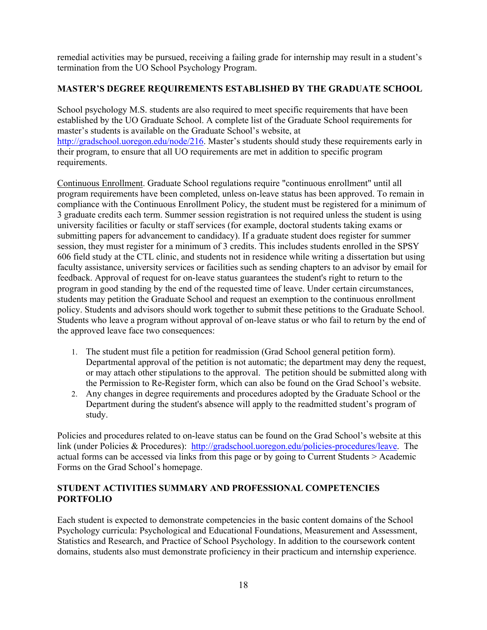remedial activities may be pursued, receiving a failing grade for internship may result in a student's termination from the UO School Psychology Program.

# **MASTER'S DEGREE REQUIREMENTS ESTABLISHED BY THE GRADUATE SCHOOL**

School psychology M.S. students are also required to meet specific requirements that have been established by the UO Graduate School. A complete list of the Graduate School requirements for master's students is available on the Graduate School's website, at http://gradschool.uoregon.edu/node/216. Master's students should study these requirements early in their program, to ensure that all UO requirements are met in addition to specific program requirements.

Continuous Enrollment. Graduate School regulations require "continuous enrollment" until all program requirements have been completed, unless on-leave status has been approved. To remain in compliance with the Continuous Enrollment Policy, the student must be registered for a minimum of 3 graduate credits each term. Summer session registration is not required unless the student is using university facilities or faculty or staff services (for example, doctoral students taking exams or submitting papers for advancement to candidacy). If a graduate student does register for summer session, they must register for a minimum of 3 credits. This includes students enrolled in the SPSY 606 field study at the CTL clinic, and students not in residence while writing a dissertation but using faculty assistance, university services or facilities such as sending chapters to an advisor by email for feedback. Approval of request for on-leave status guarantees the student's right to return to the program in good standing by the end of the requested time of leave. Under certain circumstances, students may petition the Graduate School and request an exemption to the continuous enrollment policy. Students and advisors should work together to submit these petitions to the Graduate School. Students who leave a program without approval of on-leave status or who fail to return by the end of the approved leave face two consequences:

- 1. The student must file a petition for readmission (Grad School general petition form). Departmental approval of the petition is not automatic; the department may deny the request, or may attach other stipulations to the approval. The petition should be submitted along with the Permission to Re-Register form, which can also be found on the Grad School's website.
- 2. Any changes in degree requirements and procedures adopted by the Graduate School or the Department during the student's absence will apply to the readmitted student's program of study.

Policies and procedures related to on-leave status can be found on the Grad School's website at this link (under Policies & Procedures): http://gradschool.uoregon.edu/policies-procedures/leave. The actual forms can be accessed via links from this page or by going to Current Students > Academic Forms on the Grad School's homepage.

# **STUDENT ACTIVITIES SUMMARY AND PROFESSIONAL COMPETENCIES PORTFOLIO**

Each student is expected to demonstrate competencies in the basic content domains of the School Psychology curricula: Psychological and Educational Foundations, Measurement and Assessment, Statistics and Research, and Practice of School Psychology. In addition to the coursework content domains, students also must demonstrate proficiency in their practicum and internship experience.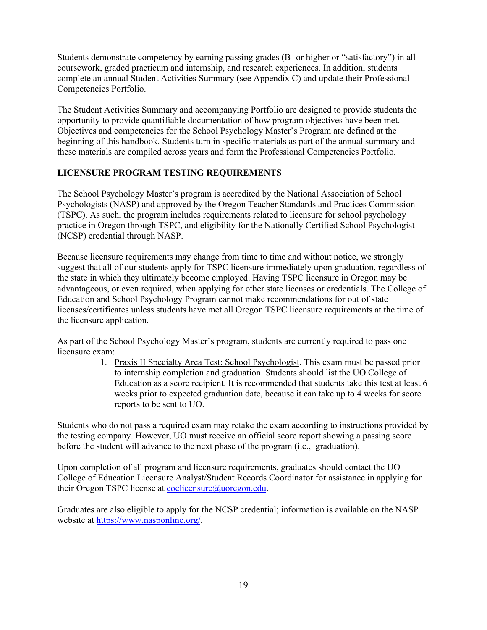Students demonstrate competency by earning passing grades (B- or higher or "satisfactory") in all coursework, graded practicum and internship, and research experiences. In addition, students complete an annual Student Activities Summary (see Appendix C) and update their Professional Competencies Portfolio.

The Student Activities Summary and accompanying Portfolio are designed to provide students the opportunity to provide quantifiable documentation of how program objectives have been met. Objectives and competencies for the School Psychology Master's Program are defined at the beginning of this handbook. Students turn in specific materials as part of the annual summary and these materials are compiled across years and form the Professional Competencies Portfolio.

# **LICENSURE PROGRAM TESTING REQUIREMENTS**

The School Psychology Master's program is accredited by the National Association of School Psychologists (NASP) and approved by the Oregon Teacher Standards and Practices Commission (TSPC). As such, the program includes requirements related to licensure for school psychology practice in Oregon through TSPC, and eligibility for the Nationally Certified School Psychologist (NCSP) credential through NASP.

Because licensure requirements may change from time to time and without notice, we strongly suggest that all of our students apply for TSPC licensure immediately upon graduation, regardless of the state in which they ultimately become employed. Having TSPC licensure in Oregon may be advantageous, or even required, when applying for other state licenses or credentials. The College of Education and School Psychology Program cannot make recommendations for out of state licenses/certificates unless students have met all Oregon TSPC licensure requirements at the time of the licensure application.

As part of the School Psychology Master's program, students are currently required to pass one licensure exam:

> 1. Praxis II Specialty Area Test: School Psychologist. This exam must be passed prior to internship completion and graduation. Students should list the UO College of Education as a score recipient. It is recommended that students take this test at least 6 weeks prior to expected graduation date, because it can take up to 4 weeks for score reports to be sent to UO.

Students who do not pass a required exam may retake the exam according to instructions provided by the testing company. However, UO must receive an official score report showing a passing score before the student will advance to the next phase of the program (i.e., graduation).

Upon completion of all program and licensure requirements, graduates should contact the UO College of Education Licensure Analyst/Student Records Coordinator for assistance in applying for their Oregon TSPC license at coelicensure@uoregon.edu.

Graduates are also eligible to apply for the NCSP credential; information is available on the NASP website at https://www.nasponline.org/.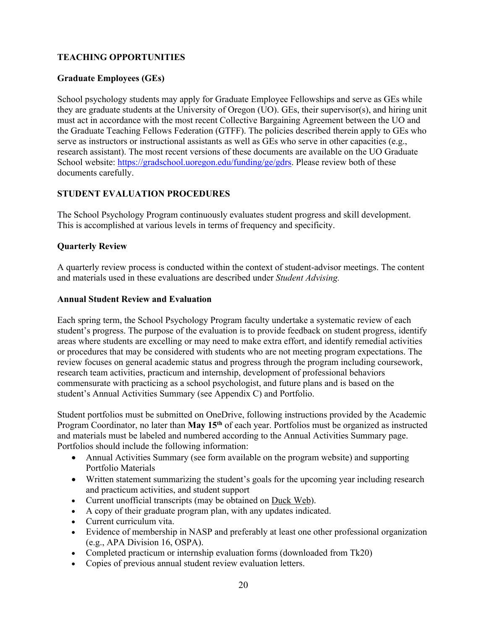# **TEACHING OPPORTUNITIES**

# **Graduate Employees (GEs)**

School psychology students may apply for Graduate Employee Fellowships and serve as GEs while they are graduate students at the University of Oregon (UO). GEs, their supervisor(s), and hiring unit must act in accordance with the most recent Collective Bargaining Agreement between the UO and the Graduate Teaching Fellows Federation (GTFF). The policies described therein apply to GEs who serve as instructors or instructional assistants as well as GEs who serve in other capacities (e.g., research assistant). The most recent versions of these documents are available on the UO Graduate School website: https://gradschool.uoregon.edu/funding/ge/gdrs. Please review both of these documents carefully.

# **STUDENT EVALUATION PROCEDURES**

The School Psychology Program continuously evaluates student progress and skill development. This is accomplished at various levels in terms of frequency and specificity.

#### **Quarterly Review**

A quarterly review process is conducted within the context of student-advisor meetings. The content and materials used in these evaluations are described under *Student Advising.*

#### **Annual Student Review and Evaluation**

Each spring term, the School Psychology Program faculty undertake a systematic review of each student's progress. The purpose of the evaluation is to provide feedback on student progress, identify areas where students are excelling or may need to make extra effort, and identify remedial activities or procedures that may be considered with students who are not meeting program expectations. The review focuses on general academic status and progress through the program including coursework, research team activities, practicum and internship, development of professional behaviors commensurate with practicing as a school psychologist, and future plans and is based on the student's Annual Activities Summary (see Appendix C) and Portfolio.

Student portfolios must be submitted on OneDrive, following instructions provided by the Academic Program Coordinator, no later than **May 15th** of each year. Portfolios must be organized as instructed and materials must be labeled and numbered according to the Annual Activities Summary page. Portfolios should include the following information:

- Annual Activities Summary (see form available on the program website) and supporting Portfolio Materials
- Written statement summarizing the student's goals for the upcoming year including research and practicum activities, and student support
- Current unofficial transcripts (may be obtained on Duck Web).
- A copy of their graduate program plan, with any updates indicated.
- Current curriculum vita.
- Evidence of membership in NASP and preferably at least one other professional organization (e.g., APA Division 16, OSPA).
- Completed practicum or internship evaluation forms (downloaded from Tk20)
- Copies of previous annual student review evaluation letters.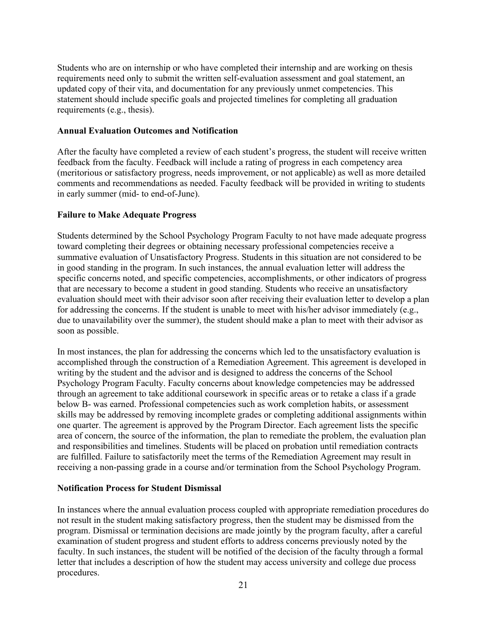Students who are on internship or who have completed their internship and are working on thesis requirements need only to submit the written self-evaluation assessment and goal statement, an updated copy of their vita, and documentation for any previously unmet competencies. This statement should include specific goals and projected timelines for completing all graduation requirements (e.g., thesis).

#### **Annual Evaluation Outcomes and Notification**

After the faculty have completed a review of each student's progress, the student will receive written feedback from the faculty. Feedback will include a rating of progress in each competency area (meritorious or satisfactory progress, needs improvement, or not applicable) as well as more detailed comments and recommendations as needed. Faculty feedback will be provided in writing to students in early summer (mid- to end-of-June).

#### **Failure to Make Adequate Progress**

Students determined by the School Psychology Program Faculty to not have made adequate progress toward completing their degrees or obtaining necessary professional competencies receive a summative evaluation of Unsatisfactory Progress. Students in this situation are not considered to be in good standing in the program. In such instances, the annual evaluation letter will address the specific concerns noted, and specific competencies, accomplishments, or other indicators of progress that are necessary to become a student in good standing. Students who receive an unsatisfactory evaluation should meet with their advisor soon after receiving their evaluation letter to develop a plan for addressing the concerns. If the student is unable to meet with his/her advisor immediately (e.g., due to unavailability over the summer), the student should make a plan to meet with their advisor as soon as possible.

In most instances, the plan for addressing the concerns which led to the unsatisfactory evaluation is accomplished through the construction of a Remediation Agreement. This agreement is developed in writing by the student and the advisor and is designed to address the concerns of the School Psychology Program Faculty. Faculty concerns about knowledge competencies may be addressed through an agreement to take additional coursework in specific areas or to retake a class if a grade below B- was earned. Professional competencies such as work completion habits, or assessment skills may be addressed by removing incomplete grades or completing additional assignments within one quarter. The agreement is approved by the Program Director. Each agreement lists the specific area of concern, the source of the information, the plan to remediate the problem, the evaluation plan and responsibilities and timelines. Students will be placed on probation until remediation contracts are fulfilled. Failure to satisfactorily meet the terms of the Remediation Agreement may result in receiving a non-passing grade in a course and/or termination from the School Psychology Program.

#### **Notification Process for Student Dismissal**

In instances where the annual evaluation process coupled with appropriate remediation procedures do not result in the student making satisfactory progress, then the student may be dismissed from the program. Dismissal or termination decisions are made jointly by the program faculty, after a careful examination of student progress and student efforts to address concerns previously noted by the faculty. In such instances, the student will be notified of the decision of the faculty through a formal letter that includes a description of how the student may access university and college due process procedures.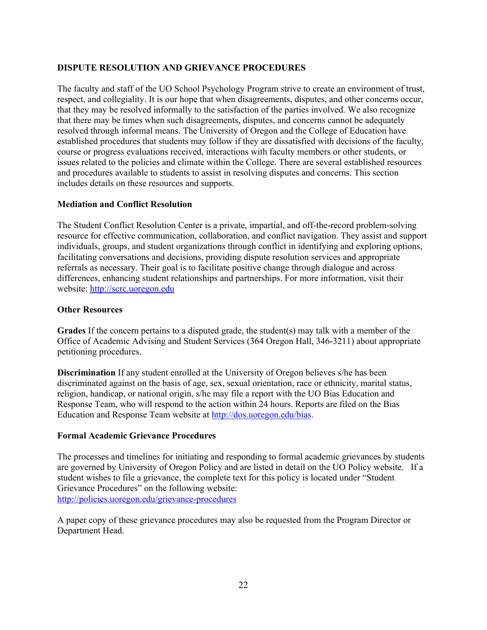# **DISPUTE RESOLUTION AND GRIEVANCE PROCEDURES**

The faculty and staff of the UO School Psychology Program strive to create an environment of trust, respect, and collegiality. It is our hope that when disagreements, disputes, and other concerns occur, that they may be resolved informally to the satisfaction of the parties involved. We also recognize that there may be times when such disagreements, disputes, and concerns cannot be adequately resolved through informal means. The University of Oregon and the College of Education have established procedures that students may follow if they are dissatisfied with decisions of the faculty, course or progress evaluations received, interactions with faculty members or other students, or issues related to the policies and climate within the College. There are several established resources and procedures available to students to assist in resolving disputes and concerns. This section includes details on these resources and supports.

#### **Mediation and Conflict Resolution**

The Student Conflict Resolution Center is a private, impartial, and off-the-record problem-solving resource for effective communication, collaboration, and conflict navigation. They assist and support individuals, groups, and student organizations through conflict in identifying and exploring options, facilitating conversations and decisions, providing dispute resolution services and appropriate referrals as necessary. Their goal is to facilitate positive change through dialogue and across differences, enhancing student relationships and partnerships. For more information, visit their website: http://scrc.uoregon.edu

#### **Other Resources**

**Grades** If the concern pertains to a disputed grade, the student(s) may talk with a member of the Office of Academic Advising and Student Services (364 Oregon Hall, 346-3211) about appropriate petitioning procedures.

**Discrimination** If any student enrolled at the University of Oregon believes s/he has been discriminated against on the basis of age, sex, sexual orientation, race or ethnicity, marital status, religion, handicap, or national origin, s/he may file a report with the UO Bias Education and Response Team, who will respond to the action within 24 hours. Reports are filed on the Bias Education and Response Team website at http://dos.uoregon.edu/bias.

#### **Formal Academic Grievance Procedures**

The processes and timelines for initiating and responding to formal academic grievances by students are governed by University of Oregon Policy and are listed in detail on the UO Policy website. If a student wishes to file a grievance, the complete text for this policy is located under "Student Grievance Procedures" on the following website: http://policies.uoregon.edu/grievance-procedures

A paper copy of these grievance procedures may also be requested from the Program Director or Department Head.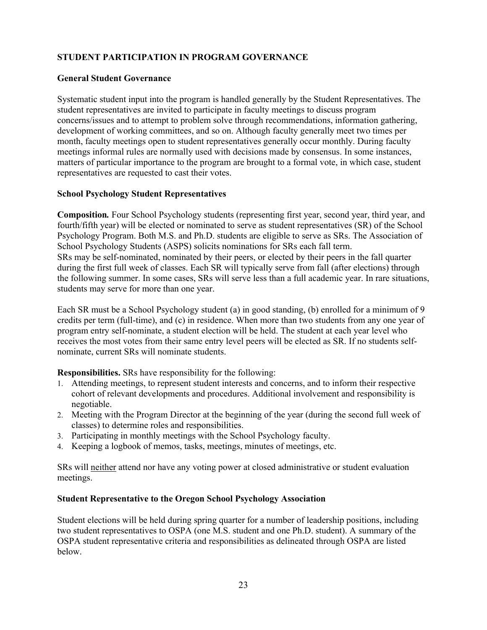# **STUDENT PARTICIPATION IN PROGRAM GOVERNANCE**

# **General Student Governance**

Systematic student input into the program is handled generally by the Student Representatives. The student representatives are invited to participate in faculty meetings to discuss program concerns/issues and to attempt to problem solve through recommendations, information gathering, development of working committees, and so on. Although faculty generally meet two times per month, faculty meetings open to student representatives generally occur monthly. During faculty meetings informal rules are normally used with decisions made by consensus. In some instances, matters of particular importance to the program are brought to a formal vote, in which case, student representatives are requested to cast their votes.

# **School Psychology Student Representatives**

**Composition***.* Four School Psychology students (representing first year, second year, third year, and fourth/fifth year) will be elected or nominated to serve as student representatives (SR) of the School Psychology Program. Both M.S. and Ph.D. students are eligible to serve as SRs. The Association of School Psychology Students (ASPS) solicits nominations for SRs each fall term. SRs may be self-nominated, nominated by their peers, or elected by their peers in the fall quarter during the first full week of classes. Each SR will typically serve from fall (after elections) through the following summer. In some cases, SRs will serve less than a full academic year. In rare situations, students may serve for more than one year.

Each SR must be a School Psychology student (a) in good standing, (b) enrolled for a minimum of 9 credits per term (full-time), and (c) in residence. When more than two students from any one year of program entry self-nominate, a student election will be held. The student at each year level who receives the most votes from their same entry level peers will be elected as SR. If no students selfnominate, current SRs will nominate students.

**Responsibilities.** SRs have responsibility for the following:

- 1. Attending meetings, to represent student interests and concerns, and to inform their respective cohort of relevant developments and procedures. Additional involvement and responsibility is negotiable.
- 2. Meeting with the Program Director at the beginning of the year (during the second full week of classes) to determine roles and responsibilities.
- 3. Participating in monthly meetings with the School Psychology faculty.
- 4. Keeping a logbook of memos, tasks, meetings, minutes of meetings, etc.

SRs will neither attend nor have any voting power at closed administrative or student evaluation meetings.

#### **Student Representative to the Oregon School Psychology Association**

Student elections will be held during spring quarter for a number of leadership positions, including two student representatives to OSPA (one M.S. student and one Ph.D. student). A summary of the OSPA student representative criteria and responsibilities as delineated through OSPA are listed below.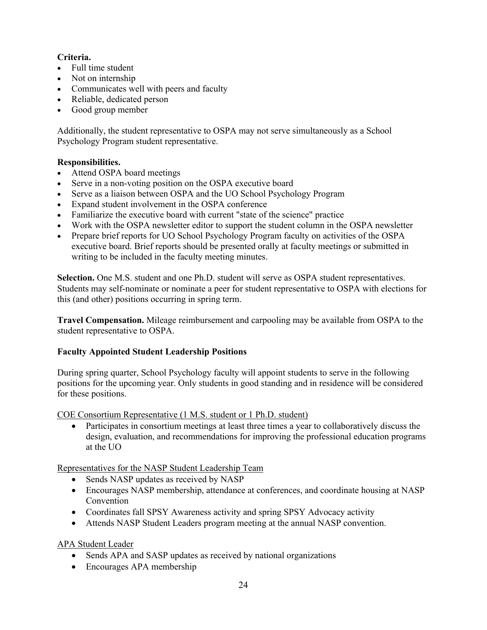# **Criteria.**

- Full time student
- Not on internship
- Communicates well with peers and faculty
- Reliable, dedicated person
- Good group member

Additionally, the student representative to OSPA may not serve simultaneously as a School Psychology Program student representative.

# **Responsibilities.**

- Attend OSPA board meetings
- Serve in a non-voting position on the OSPA executive board
- Serve as a liaison between OSPA and the UO School Psychology Program
- Expand student involvement in the OSPA conference
- Familiarize the executive board with current "state of the science" practice
- Work with the OSPA newsletter editor to support the student column in the OSPA newsletter
- Prepare brief reports for UO School Psychology Program faculty on activities of the OSPA executive board. Brief reports should be presented orally at faculty meetings or submitted in writing to be included in the faculty meeting minutes.

**Selection.** One M.S. student and one Ph.D. student will serve as OSPA student representatives. Students may self-nominate or nominate a peer for student representative to OSPA with elections for this (and other) positions occurring in spring term.

**Travel Compensation.** Mileage reimbursement and carpooling may be available from OSPA to the student representative to OSPA.

# **Faculty Appointed Student Leadership Positions**

During spring quarter, School Psychology faculty will appoint students to serve in the following positions for the upcoming year. Only students in good standing and in residence will be considered for these positions.

COE Consortium Representative (1 M.S. student or 1 Ph.D. student)

• Participates in consortium meetings at least three times a year to collaboratively discuss the design, evaluation, and recommendations for improving the professional education programs at the UO

Representatives for the NASP Student Leadership Team

- Sends NASP updates as received by NASP
- Encourages NASP membership, attendance at conferences, and coordinate housing at NASP Convention
- Coordinates fall SPSY Awareness activity and spring SPSY Advocacy activity
- Attends NASP Student Leaders program meeting at the annual NASP convention.

APA Student Leader

- Sends APA and SASP updates as received by national organizations
- Encourages APA membership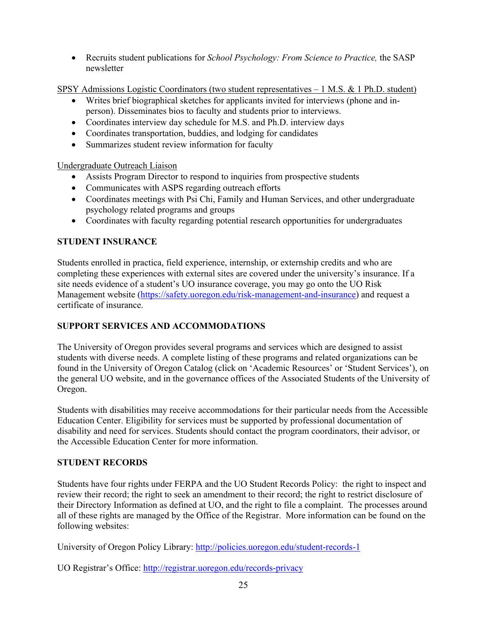• Recruits student publications for *School Psychology: From Science to Practice,* the SASP newsletter

SPSY Admissions Logistic Coordinators (two student representatives  $-1$  M.S. & 1 Ph.D. student)

- Writes brief biographical sketches for applicants invited for interviews (phone and inperson). Disseminates bios to faculty and students prior to interviews.
- Coordinates interview day schedule for M.S. and Ph.D. interview days
- Coordinates transportation, buddies, and lodging for candidates
- Summarizes student review information for faculty

Undergraduate Outreach Liaison

- Assists Program Director to respond to inquiries from prospective students
- Communicates with ASPS regarding outreach efforts
- Coordinates meetings with Psi Chi, Family and Human Services, and other undergraduate psychology related programs and groups
- Coordinates with faculty regarding potential research opportunities for undergraduates

# **STUDENT INSURANCE**

Students enrolled in practica, field experience, internship, or externship credits and who are completing these experiences with external sites are covered under the university's insurance. If a site needs evidence of a student's UO insurance coverage, you may go onto the UO Risk Management website (https://safety.uoregon.edu/risk-management-and-insurance) and request a certificate of insurance.

# **SUPPORT SERVICES AND ACCOMMODATIONS**

The University of Oregon provides several programs and services which are designed to assist students with diverse needs. A complete listing of these programs and related organizations can be found in the University of Oregon Catalog (click on 'Academic Resources' or 'Student Services'), on the general UO website, and in the governance offices of the Associated Students of the University of Oregon.

Students with disabilities may receive accommodations for their particular needs from the Accessible Education Center. Eligibility for services must be supported by professional documentation of disability and need for services. Students should contact the program coordinators, their advisor, or the Accessible Education Center for more information.

#### **STUDENT RECORDS**

Students have four rights under FERPA and the UO Student Records Policy: the right to inspect and review their record; the right to seek an amendment to their record; the right to restrict disclosure of their Directory Information as defined at UO, and the right to file a complaint. The processes around all of these rights are managed by the Office of the Registrar. More information can be found on the following websites:

University of Oregon Policy Library: http://policies.uoregon.edu/student-records-1

UO Registrar's Office: http://registrar.uoregon.edu/records-privacy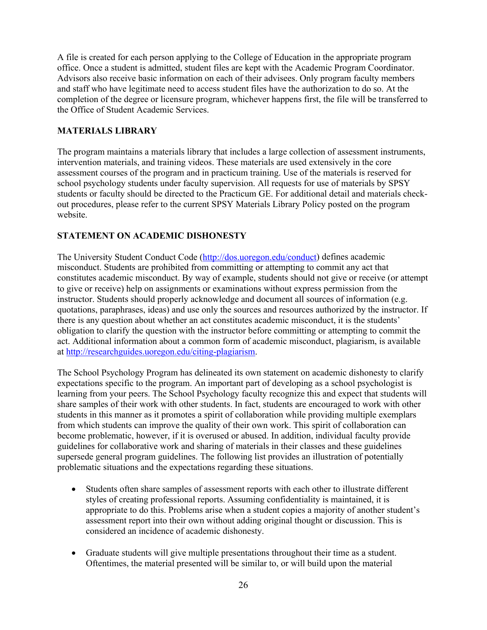A file is created for each person applying to the College of Education in the appropriate program office. Once a student is admitted, student files are kept with the Academic Program Coordinator. Advisors also receive basic information on each of their advisees. Only program faculty members and staff who have legitimate need to access student files have the authorization to do so. At the completion of the degree or licensure program, whichever happens first, the file will be transferred to the Office of Student Academic Services.

# **MATERIALS LIBRARY**

The program maintains a materials library that includes a large collection of assessment instruments, intervention materials, and training videos. These materials are used extensively in the core assessment courses of the program and in practicum training. Use of the materials is reserved for school psychology students under faculty supervision. All requests for use of materials by SPSY students or faculty should be directed to the Practicum GE. For additional detail and materials checkout procedures, please refer to the current SPSY Materials Library Policy posted on the program website.

# **STATEMENT ON ACADEMIC DISHONESTY**

The University Student Conduct Code (http://dos.uoregon.edu/conduct) defines academic misconduct. Students are prohibited from committing or attempting to commit any act that constitutes academic misconduct. By way of example, students should not give or receive (or attempt to give or receive) help on assignments or examinations without express permission from the instructor. Students should properly acknowledge and document all sources of information (e.g. quotations, paraphrases, ideas) and use only the sources and resources authorized by the instructor. If there is any question about whether an act constitutes academic misconduct, it is the students' obligation to clarify the question with the instructor before committing or attempting to commit the act. Additional information about a common form of academic misconduct, plagiarism, is available at http://researchguides.uoregon.edu/citing-plagiarism.

The School Psychology Program has delineated its own statement on academic dishonesty to clarify expectations specific to the program. An important part of developing as a school psychologist is learning from your peers. The School Psychology faculty recognize this and expect that students will share samples of their work with other students. In fact, students are encouraged to work with other students in this manner as it promotes a spirit of collaboration while providing multiple exemplars from which students can improve the quality of their own work. This spirit of collaboration can become problematic, however, if it is overused or abused. In addition, individual faculty provide guidelines for collaborative work and sharing of materials in their classes and these guidelines supersede general program guidelines. The following list provides an illustration of potentially problematic situations and the expectations regarding these situations.

- Students often share samples of assessment reports with each other to illustrate different styles of creating professional reports. Assuming confidentiality is maintained, it is appropriate to do this. Problems arise when a student copies a majority of another student's assessment report into their own without adding original thought or discussion. This is considered an incidence of academic dishonesty.
- Graduate students will give multiple presentations throughout their time as a student. Oftentimes, the material presented will be similar to, or will build upon the material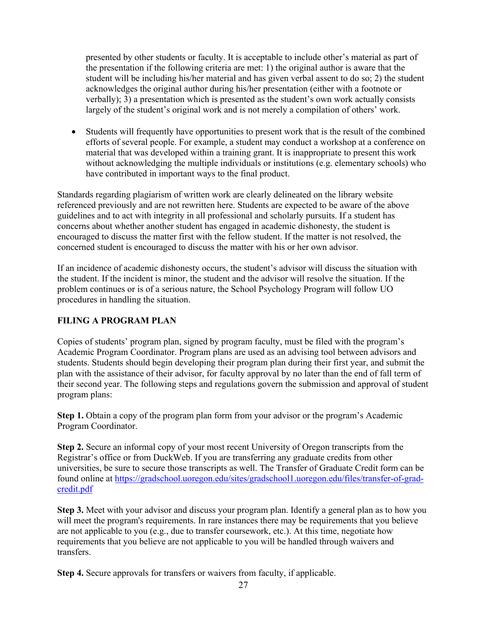presented by other students or faculty. It is acceptable to include other's material as part of the presentation if the following criteria are met: 1) the original author is aware that the student will be including his/her material and has given verbal assent to do so; 2) the student acknowledges the original author during his/her presentation (either with a footnote or verbally); 3) a presentation which is presented as the student's own work actually consists largely of the student's original work and is not merely a compilation of others' work.

• Students will frequently have opportunities to present work that is the result of the combined efforts of several people. For example, a student may conduct a workshop at a conference on material that was developed within a training grant. It is inappropriate to present this work without acknowledging the multiple individuals or institutions (e.g. elementary schools) who have contributed in important ways to the final product.

Standards regarding plagiarism of written work are clearly delineated on the library website referenced previously and are not rewritten here. Students are expected to be aware of the above guidelines and to act with integrity in all professional and scholarly pursuits. If a student has concerns about whether another student has engaged in academic dishonesty, the student is encouraged to discuss the matter first with the fellow student. If the matter is not resolved, the concerned student is encouraged to discuss the matter with his or her own advisor.

If an incidence of academic dishonesty occurs, the student's advisor will discuss the situation with the student. If the incident is minor, the student and the advisor will resolve the situation. If the problem continues or is of a serious nature, the School Psychology Program will follow UO procedures in handling the situation.

# **FILING A PROGRAM PLAN**

Copies of students' program plan, signed by program faculty, must be filed with the program's Academic Program Coordinator. Program plans are used as an advising tool between advisors and students. Students should begin developing their program plan during their first year, and submit the plan with the assistance of their advisor, for faculty approval by no later than the end of fall term of their second year. The following steps and regulations govern the submission and approval of student program plans:

**Step 1.** Obtain a copy of the program plan form from your advisor or the program's Academic Program Coordinator.

**Step 2.** Secure an informal copy of your most recent University of Oregon transcripts from the Registrar's office or from DuckWeb. If you are transferring any graduate credits from other universities, be sure to secure those transcripts as well. The Transfer of Graduate Credit form can be found online at https://gradschool.uoregon.edu/sites/gradschool1.uoregon.edu/files/transfer-of-gradcredit.pdf

**Step 3.** Meet with your advisor and discuss your program plan. Identify a general plan as to how you will meet the program's requirements. In rare instances there may be requirements that you believe are not applicable to you (e.g., due to transfer coursework, etc.). At this time, negotiate how requirements that you believe are not applicable to you will be handled through waivers and transfers.

**Step 4.** Secure approvals for transfers or waivers from faculty, if applicable.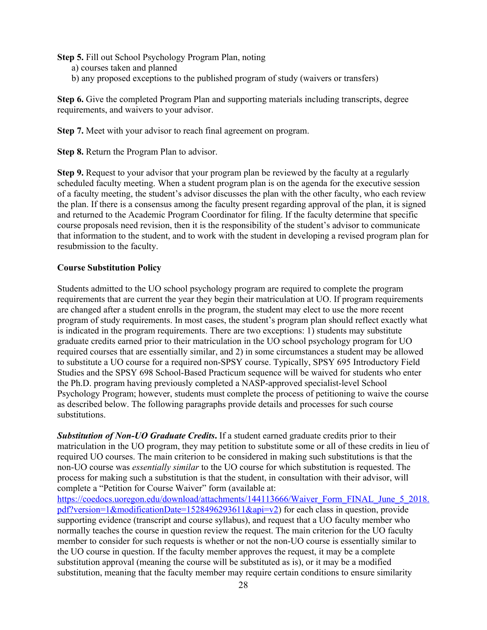**Step 5.** Fill out School Psychology Program Plan, noting

- a) courses taken and planned
- b) any proposed exceptions to the published program of study (waivers or transfers)

**Step 6.** Give the completed Program Plan and supporting materials including transcripts, degree requirements, and waivers to your advisor.

**Step 7.** Meet with your advisor to reach final agreement on program.

**Step 8.** Return the Program Plan to advisor.

**Step 9.** Request to your advisor that your program plan be reviewed by the faculty at a regularly scheduled faculty meeting. When a student program plan is on the agenda for the executive session of a faculty meeting, the student's advisor discusses the plan with the other faculty, who each review the plan. If there is a consensus among the faculty present regarding approval of the plan, it is signed and returned to the Academic Program Coordinator for filing. If the faculty determine that specific course proposals need revision, then it is the responsibility of the student's advisor to communicate that information to the student, and to work with the student in developing a revised program plan for resubmission to the faculty.

#### **Course Substitution Policy**

Students admitted to the UO school psychology program are required to complete the program requirements that are current the year they begin their matriculation at UO. If program requirements are changed after a student enrolls in the program, the student may elect to use the more recent program of study requirements. In most cases, the student's program plan should reflect exactly what is indicated in the program requirements. There are two exceptions: 1) students may substitute graduate credits earned prior to their matriculation in the UO school psychology program for UO required courses that are essentially similar, and 2) in some circumstances a student may be allowed to substitute a UO course for a required non-SPSY course. Typically, SPSY 695 Introductory Field Studies and the SPSY 698 School-Based Practicum sequence will be waived for students who enter the Ph.D. program having previously completed a NASP-approved specialist-level School Psychology Program; however, students must complete the process of petitioning to waive the course as described below. The following paragraphs provide details and processes for such course substitutions.

*Substitution of Non-UO Graduate Credits***.** If a student earned graduate credits prior to their matriculation in the UO program, they may petition to substitute some or all of these credits in lieu of required UO courses. The main criterion to be considered in making such substitutions is that the non-UO course was *essentially similar* to the UO course for which substitution is requested. The process for making such a substitution is that the student, in consultation with their advisor, will complete a "Petition for Course Waiver" form (available at:

https://coedocs.uoregon.edu/download/attachments/144113666/Waiver\_Form\_FINAL\_June\_5\_2018. pdf?version=1&modificationDate=1528496293611&api=v2) for each class in question, provide supporting evidence (transcript and course syllabus), and request that a UO faculty member who normally teaches the course in question review the request. The main criterion for the UO faculty member to consider for such requests is whether or not the non-UO course is essentially similar to the UO course in question. If the faculty member approves the request, it may be a complete substitution approval (meaning the course will be substituted as is), or it may be a modified substitution, meaning that the faculty member may require certain conditions to ensure similarity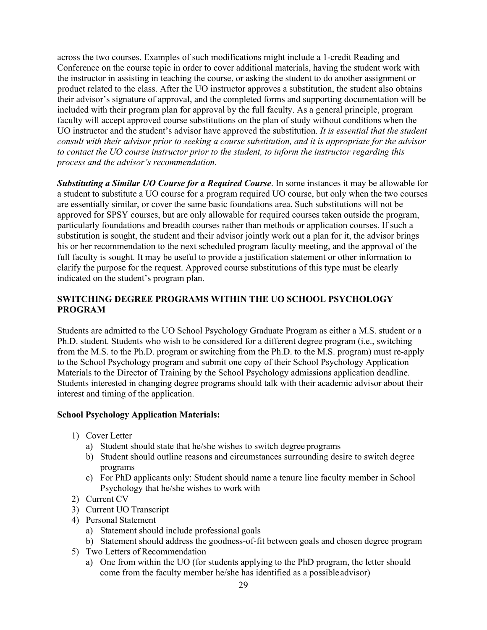across the two courses. Examples of such modifications might include a 1-credit Reading and Conference on the course topic in order to cover additional materials, having the student work with the instructor in assisting in teaching the course, or asking the student to do another assignment or product related to the class. After the UO instructor approves a substitution, the student also obtains their advisor's signature of approval, and the completed forms and supporting documentation will be included with their program plan for approval by the full faculty. As a general principle, program faculty will accept approved course substitutions on the plan of study without conditions when the UO instructor and the student's advisor have approved the substitution. *It is essential that the student consult with their advisor prior to seeking a course substitution, and it is appropriate for the advisor to contact the UO course instructor prior to the student, to inform the instructor regarding this process and the advisor's recommendation.*

*Substituting a Similar UO Course for a Required Course*. In some instances it may be allowable for a student to substitute a UO course for a program required UO course, but only when the two courses are essentially similar, or cover the same basic foundations area. Such substitutions will not be approved for SPSY courses, but are only allowable for required courses taken outside the program, particularly foundations and breadth courses rather than methods or application courses. If such a substitution is sought, the student and their advisor jointly work out a plan for it, the advisor brings his or her recommendation to the next scheduled program faculty meeting, and the approval of the full faculty is sought. It may be useful to provide a justification statement or other information to clarify the purpose for the request. Approved course substitutions of this type must be clearly indicated on the student's program plan.

# **SWITCHING DEGREE PROGRAMS WITHIN THE UO SCHOOL PSYCHOLOGY PROGRAM**

Students are admitted to the UO School Psychology Graduate Program as either a M.S. student or a Ph.D. student. Students who wish to be considered for a different degree program (i.e., switching from the M.S. to the Ph.D. program or switching from the Ph.D. to the M.S. program) must re-apply to the School Psychology program and submit one copy of their School Psychology Application Materials to the Director of Training by the School Psychology admissions application deadline. Students interested in changing degree programs should talk with their academic advisor about their interest and timing of the application.

#### **School Psychology Application Materials:**

- 1) Cover Letter
	- a) Student should state that he/she wishes to switch degree programs
	- b) Student should outline reasons and circumstances surrounding desire to switch degree programs
	- c) For PhD applicants only: Student should name a tenure line faculty member in School Psychology that he/she wishes to work with
- 2) Current CV
- 3) Current UO Transcript
- 4) Personal Statement
	- a) Statement should include professional goals
	- b) Statement should address the goodness-of-fit between goals and chosen degree program
- 5) Two Letters of Recommendation
	- a) One from within the UO (for students applying to the PhD program, the letter should come from the faculty member he/she has identified as a possibleadvisor)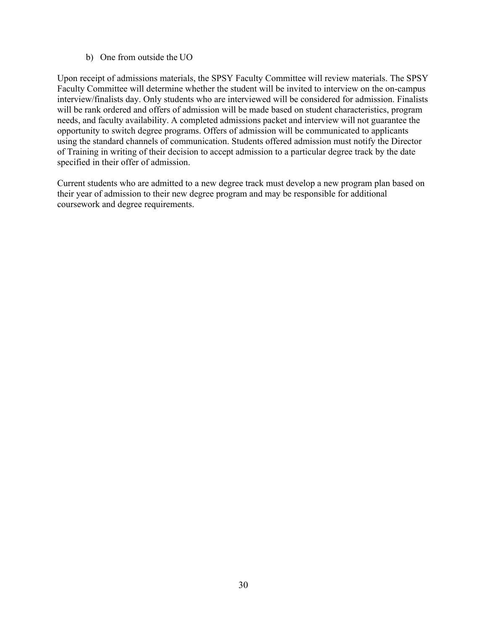#### b) One from outside the UO

Upon receipt of admissions materials, the SPSY Faculty Committee will review materials. The SPSY Faculty Committee will determine whether the student will be invited to interview on the on-campus interview/finalists day. Only students who are interviewed will be considered for admission. Finalists will be rank ordered and offers of admission will be made based on student characteristics, program needs, and faculty availability. A completed admissions packet and interview will not guarantee the opportunity to switch degree programs. Offers of admission will be communicated to applicants using the standard channels of communication. Students offered admission must notify the Director of Training in writing of their decision to accept admission to a particular degree track by the date specified in their offer of admission.

Current students who are admitted to a new degree track must develop a new program plan based on their year of admission to their new degree program and may be responsible for additional coursework and degree requirements.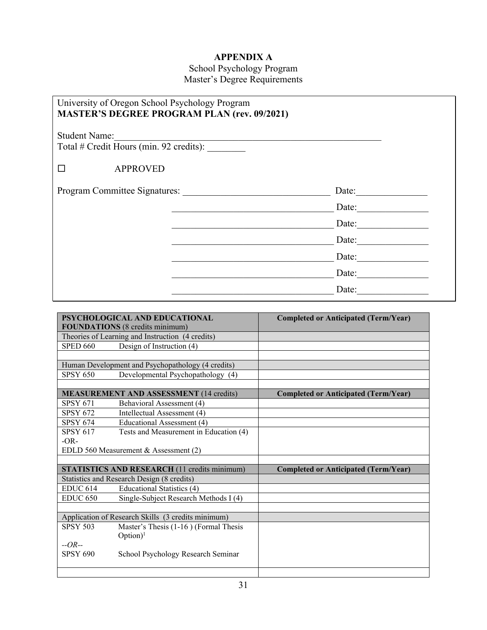# **APPENDIX A**

School Psychology Program Master's Degree Requirements

| University of Oregon School Psychology Program<br><b>MASTER'S DEGREE PROGRAM PLAN (rev. 09/2021)</b> |       |       |
|------------------------------------------------------------------------------------------------------|-------|-------|
| <b>Student Name:</b><br>Total # Credit Hours (min. 92 credits):                                      |       |       |
| <b>APPROVED</b>                                                                                      |       |       |
| Program Committee Signatures:                                                                        | Date: |       |
|                                                                                                      |       | Date: |
|                                                                                                      |       | Date: |
|                                                                                                      |       | Date: |
|                                                                                                      |       | Date: |
|                                                                                                      |       | Date: |
|                                                                                                      |       | Date: |

|                 | PSYCHOLOGICAL AND EDUCATIONAL                       | <b>Completed or Anticipated (Term/Year)</b> |
|-----------------|-----------------------------------------------------|---------------------------------------------|
|                 | <b>FOUNDATIONS</b> (8 credits minimum)              |                                             |
|                 | Theories of Learning and Instruction (4 credits)    |                                             |
| <b>SPED 660</b> | Design of Instruction $(4)$                         |                                             |
|                 |                                                     |                                             |
|                 | Human Development and Psychopathology (4 credits)   |                                             |
| <b>SPSY 650</b> | Developmental Psychopathology (4)                   |                                             |
|                 |                                                     |                                             |
|                 | <b>MEASUREMENT AND ASSESSMENT (14 credits)</b>      | <b>Completed or Anticipated (Term/Year)</b> |
| <b>SPSY 671</b> | Behavioral Assessment (4)                           |                                             |
| <b>SPSY 672</b> | Intellectual Assessment (4)                         |                                             |
| <b>SPSY 674</b> | Educational Assessment (4)                          |                                             |
| <b>SPSY 617</b> | Tests and Measurement in Education (4)              |                                             |
| $-OR-$          |                                                     |                                             |
|                 | EDLD 560 Measurement & Assessment (2)               |                                             |
|                 |                                                     |                                             |
|                 | <b>STATISTICS AND RESEARCH (11 credits minimum)</b> | <b>Completed or Anticipated (Term/Year)</b> |
|                 | Statistics and Research Design (8 credits)          |                                             |
| <b>EDUC 614</b> | Educational Statistics (4)                          |                                             |
| <b>EDUC 650</b> | Single-Subject Research Methods I (4)               |                                             |
|                 |                                                     |                                             |
|                 | Application of Research Skills (3 credits minimum)  |                                             |
| <b>SPSY 503</b> | Master's Thesis (1-16) (Formal Thesis               |                                             |
|                 | $Option)^1$                                         |                                             |
| $-OR-$          |                                                     |                                             |
| <b>SPSY 690</b> | School Psychology Research Seminar                  |                                             |
|                 |                                                     |                                             |
|                 |                                                     |                                             |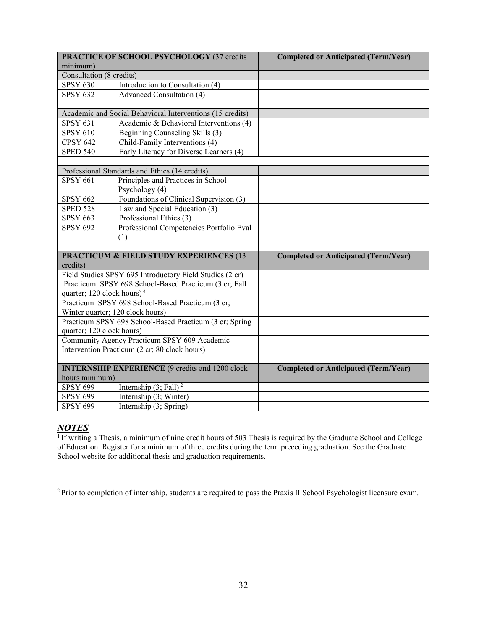| PRACTICE OF SCHOOL PSYCHOLOGY (37 credits                               | <b>Completed or Anticipated (Term/Year)</b> |
|-------------------------------------------------------------------------|---------------------------------------------|
| minimum)                                                                |                                             |
| Consultation (8 credits)                                                |                                             |
| Introduction to Consultation (4)<br><b>SPSY 630</b>                     |                                             |
| Advanced Consultation (4)<br><b>SPSY 632</b>                            |                                             |
|                                                                         |                                             |
| Academic and Social Behavioral Interventions (15 credits)               |                                             |
| <b>SPSY 631</b><br>Academic & Behavioral Interventions (4)              |                                             |
| <b>SPSY 610</b><br>Beginning Counseling Skills (3)                      |                                             |
| Child-Family Interventions (4)<br><b>CPSY 642</b>                       |                                             |
| <b>SPED 540</b><br>Early Literacy for Diverse Learners (4)              |                                             |
|                                                                         |                                             |
| Professional Standards and Ethics (14 credits)                          |                                             |
| <b>SPSY 661</b><br>Principles and Practices in School<br>Psychology (4) |                                             |
| Foundations of Clinical Supervision (3)<br><b>SPSY 662</b>              |                                             |
| <b>SPED 528</b><br>Law and Special Education (3)                        |                                             |
| Professional Ethics (3)<br>SPSY $663$                                   |                                             |
| Professional Competencies Portfolio Eval<br><b>SPSY 692</b>             |                                             |
| (1)                                                                     |                                             |
|                                                                         |                                             |
| <b>PRACTICUM &amp; FIELD STUDY EXPERIENCES (13</b><br>credits)          | <b>Completed or Anticipated (Term/Year)</b> |
| Field Studies SPSY 695 Introductory Field Studies (2 cr)                |                                             |
| Practicum SPSY 698 School-Based Practicum (3 cr; Fall                   |                                             |
| quarter; 120 clock hours) <sup>4</sup>                                  |                                             |
| Practicum SPSY 698 School-Based Practicum (3 cr;                        |                                             |
| Winter quarter; 120 clock hours)                                        |                                             |
| Practicum SPSY 698 School-Based Practicum (3 cr; Spring                 |                                             |
| quarter; 120 clock hours)                                               |                                             |
| Community Agency Practicum SPSY 609 Academic                            |                                             |
| Intervention Practicum (2 cr; 80 clock hours)                           |                                             |
|                                                                         |                                             |
| <b>INTERNSHIP EXPERIENCE (9 credits and 1200 clock</b>                  | <b>Completed or Anticipated (Term/Year)</b> |
| hours minimum)                                                          |                                             |
| <b>SPSY 699</b><br>Internship $(3; Fall)2$                              |                                             |
| Internship (3; Winter)<br><b>SPSY 699</b>                               |                                             |
| <b>SPSY 699</b><br>Internship (3; Spring)                               |                                             |

# *NOTES*

<sup>1</sup> If writing a Thesis, a minimum of nine credit hours of 503 Thesis is required by the Graduate School and College of Education. Register for a minimum of three credits during the term preceding graduation. See the Graduate School website for additional thesis and graduation requirements.

<sup>2</sup> Prior to completion of internship, students are required to pass the Praxis II School Psychologist licensure exam.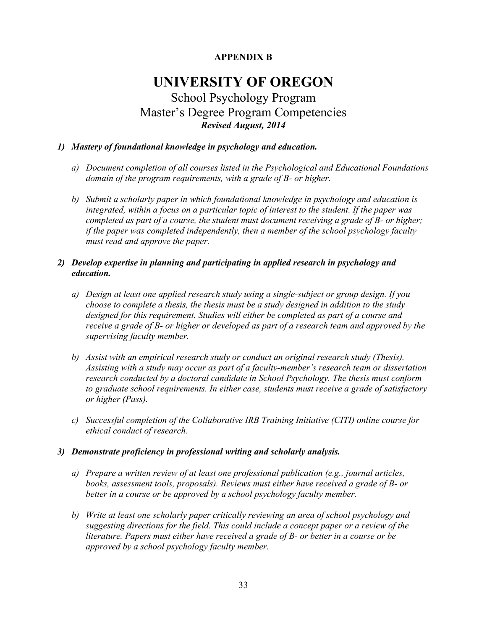# **APPENDIX B**

# **UNIVERSITY OF OREGON** School Psychology Program Master's Degree Program Competencies *Revised August, 2014*

# *1) Mastery of foundational knowledge in psychology and education.*

- *a) Document completion of all courses listed in the Psychological and Educational Foundations domain of the program requirements, with a grade of B- or higher.*
- *b) Submit a scholarly paper in which foundational knowledge in psychology and education is integrated, within a focus on a particular topic of interest to the student. If the paper was completed as part of a course, the student must document receiving a grade of B- or higher; if the paper was completed independently, then a member of the school psychology faculty must read and approve the paper.*

# *2) Develop expertise in planning and participating in applied research in psychology and education.*

- *a) Design at least one applied research study using a single-subject or group design. If you choose to complete a thesis, the thesis must be a study designed in addition to the study designed for this requirement. Studies will either be completed as part of a course and receive a grade of B- or higher or developed as part of a research team and approved by the supervising faculty member.*
- *b) Assist with an empirical research study or conduct an original research study (Thesis). Assisting with a study may occur as part of a faculty-member's research team or dissertation research conducted by a doctoral candidate in School Psychology. The thesis must conform to graduate school requirements. In either case, students must receive a grade of satisfactory or higher (Pass).*
- *c) Successful completion of the Collaborative IRB Training Initiative (CITI) online course for ethical conduct of research.*

#### *3) Demonstrate proficiency in professional writing and scholarly analysis.*

- *a) Prepare a written review of at least one professional publication (e.g., journal articles, books, assessment tools, proposals). Reviews must either have received a grade of B- or better in a course or be approved by a school psychology faculty member.*
- *b) Write at least one scholarly paper critically reviewing an area of school psychology and suggesting directions for the field. This could include a concept paper or a review of the literature. Papers must either have received a grade of B- or better in a course or be approved by a school psychology faculty member.*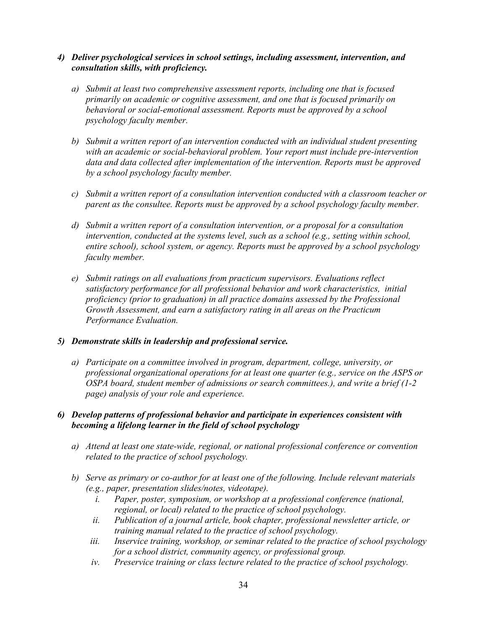- *4) Deliver psychological services in school settings, including assessment, intervention, and consultation skills, with proficiency.*
	- *a) Submit at least two comprehensive assessment reports, including one that is focused primarily on academic or cognitive assessment, and one that is focused primarily on behavioral or social-emotional assessment. Reports must be approved by a school psychology faculty member.*
	- *b) Submit a written report of an intervention conducted with an individual student presenting with an academic or social-behavioral problem. Your report must include pre-intervention data and data collected after implementation of the intervention. Reports must be approved by a school psychology faculty member.*
	- *c) Submit a written report of a consultation intervention conducted with a classroom teacher or parent as the consultee. Reports must be approved by a school psychology faculty member.*
	- *d) Submit a written report of a consultation intervention, or a proposal for a consultation intervention, conducted at the systems level, such as a school (e.g., setting within school, entire school), school system, or agency. Reports must be approved by a school psychology faculty member.*
	- *e) Submit ratings on all evaluations from practicum supervisors. Evaluations reflect satisfactory performance for all professional behavior and work characteristics, initial proficiency (prior to graduation) in all practice domains assessed by the Professional Growth Assessment, and earn a satisfactory rating in all areas on the Practicum Performance Evaluation.*

#### *5) Demonstrate skills in leadership and professional service.*

*a) Participate on a committee involved in program, department, college, university, or professional organizational operations for at least one quarter (e.g., service on the ASPS or OSPA board, student member of admissions or search committees.), and write a brief (1-2 page) analysis of your role and experience.* 

#### *6) Develop patterns of professional behavior and participate in experiences consistent with becoming a lifelong learner in the field of school psychology*

- *a) Attend at least one state-wide, regional, or national professional conference or convention related to the practice of school psychology.*
- *b) Serve as primary or co-author for at least one of the following. Include relevant materials (e.g., paper, presentation slides/notes, videotape).*
	- *i. Paper, poster, symposium, or workshop at a professional conference (national, regional, or local) related to the practice of school psychology.*
	- *ii. Publication of a journal article, book chapter, professional newsletter article, or training manual related to the practice of school psychology.*
	- *iii. Inservice training, workshop, or seminar related to the practice of school psychology for a school district, community agency, or professional group.*
	- *iv. Preservice training or class lecture related to the practice of school psychology.*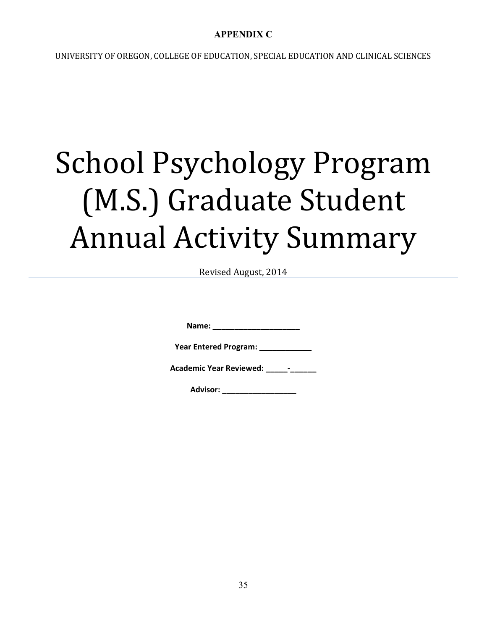# **APPENDIX C**

UNIVERSITY OF OREGON, COLLEGE OF EDUCATION, SPECIAL EDUCATION AND CLINICAL SCIENCES

# School Psychology Program (M.S.) Graduate Student Annual Activity Summary

Revised August, 2014

**Name: \_\_\_\_\_\_\_\_\_\_\_\_\_\_\_\_\_\_\_\_**

**Year Entered Program: \_\_\_\_\_\_\_\_\_\_\_\_**

**Academic Year Reviewed: \_\_\_\_\_-\_\_\_\_\_\_**

**Advisor: \_\_\_\_\_\_\_\_\_\_\_\_\_\_\_\_\_**

35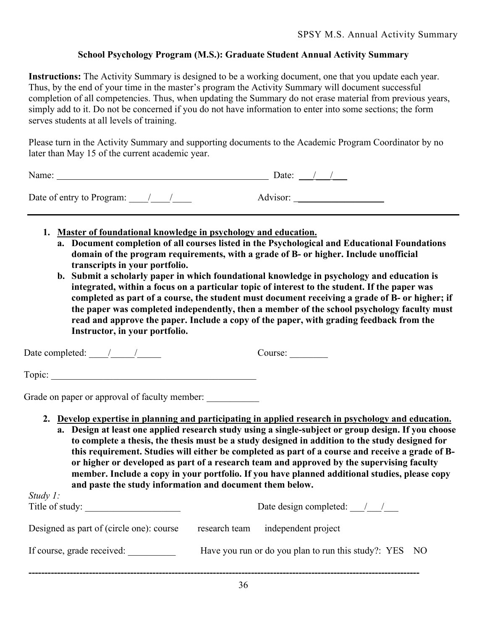# **School Psychology Program (M.S.): Graduate Student Annual Activity Summary**

**Instructions:** The Activity Summary is designed to be a working document, one that you update each year. Thus, by the end of your time in the master's program the Activity Summary will document successful completion of all competencies. Thus, when updating the Summary do not erase material from previous years, simply add to it. Do not be concerned if you do not have information to enter into some sections; the form serves students at all levels of training.

Please turn in the Activity Summary and supporting documents to the Academic Program Coordinator by no later than May 15 of the current academic year.

| Name:                       | Date:    |
|-----------------------------|----------|
| Date of entry to Program: / | Advisor: |

- **1. Master of foundational knowledge in psychology and education.**
	- **a. Document completion of all courses listed in the Psychological and Educational Foundations domain of the program requirements, with a grade of B- or higher. Include unofficial transcripts in your portfolio.**
	- **b. Submit a scholarly paper in which foundational knowledge in psychology and education is integrated, within a focus on a particular topic of interest to the student. If the paper was completed as part of a course, the student must document receiving a grade of B- or higher; if the paper was completed independently, then a member of the school psychology faculty must read and approve the paper. Include a copy of the paper, with grading feedback from the Instructor, in your portfolio.**

Date completed:  $\frac{1}{2}$   $\frac{1}{2}$  Course:

Topic:  $\qquad \qquad \qquad$ 

Grade on paper or approval of faculty member:

- **2. Develop expertise in planning and participating in applied research in psychology and education.**
	- **a. Design at least one applied research study using a single-subject or group design. If you choose to complete a thesis, the thesis must be a study designed in addition to the study designed for this requirement. Studies will either be completed as part of a course and receive a grade of Bor higher or developed as part of a research team and approved by the supervising faculty member. Include a copy in your portfolio. If you have planned additional studies, please copy and paste the study information and document them below.**

| Date design completed: / / |                     |                                                        |
|----------------------------|---------------------|--------------------------------------------------------|
| research team              | independent project |                                                        |
|                            |                     |                                                        |
|                            |                     | Have you run or do you plan to run this study?: YES NO |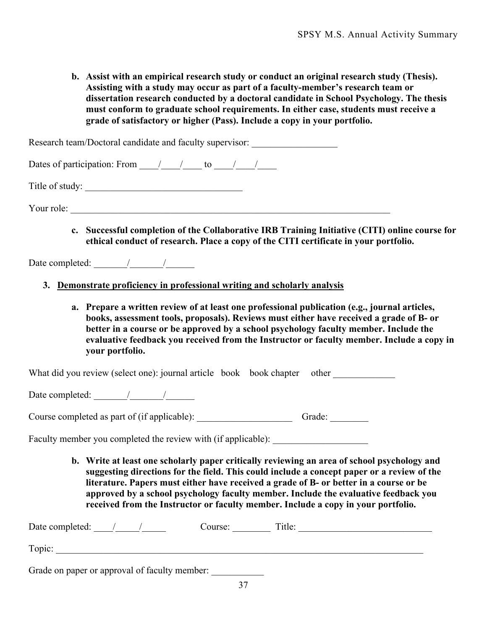**b. Assist with an empirical research study or conduct an original research study (Thesis). Assisting with a study may occur as part of a faculty-member's research team or dissertation research conducted by a doctoral candidate in School Psychology. The thesis must conform to graduate school requirements. In either case, students must receive a grade of satisfactory or higher (Pass). Include a copy in your portfolio.**

Research team/Doctoral candidate and faculty supervisor:

Dates of participation: From  $\frac{1}{2}$  to  $\frac{1}{2}$ 

Title of study:

Your role:

**c. Successful completion of the Collaborative IRB Training Initiative (CITI) online course for ethical conduct of research. Place a copy of the CITI certificate in your portfolio.**

Date completed:  $\frac{1}{2}$  /

- **3. Demonstrate proficiency in professional writing and scholarly analysis**
	- **a. Prepare a written review of at least one professional publication (e.g., journal articles, books, assessment tools, proposals). Reviews must either have received a grade of B- or better in a course or be approved by a school psychology faculty member. Include the evaluative feedback you received from the Instructor or faculty member. Include a copy in your portfolio.**

What did you review (select one): journal article book book chapter other

Date completed:  $\frac{1}{2}$  /

Course completed as part of (if applicable): \_\_\_\_\_\_\_\_\_\_\_\_\_\_\_\_\_\_\_\_ Grade: \_\_\_\_\_\_\_\_

Faculty member you completed the review with (if applicable): \_\_\_\_\_\_\_\_\_\_\_\_\_\_\_\_\_\_

**b. Write at least one scholarly paper critically reviewing an area of school psychology and suggesting directions for the field. This could include a concept paper or a review of the literature. Papers must either have received a grade of B- or better in a course or be approved by a school psychology faculty member. Include the evaluative feedback you received from the Instructor or faculty member. Include a copy in your portfolio.** 

| Date completed:                               |  | Course: | Title: |  |
|-----------------------------------------------|--|---------|--------|--|
| Topic:                                        |  |         |        |  |
| Grade on paper or approval of faculty member: |  |         |        |  |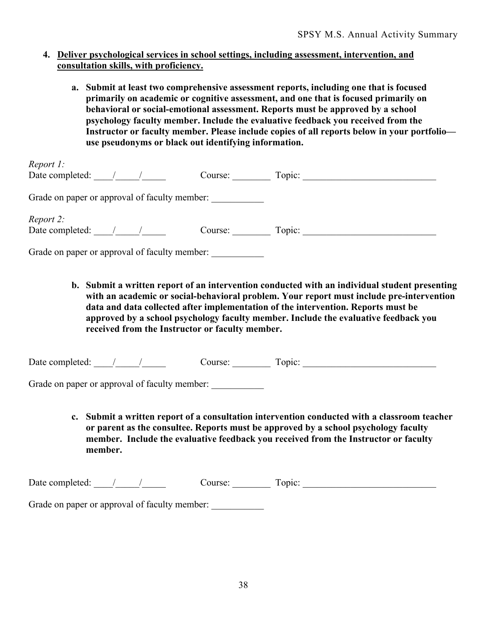#### **4. Deliver psychological services in school settings, including assessment, intervention, and consultation skills, with proficiency.**

**a. Submit at least two comprehensive assessment reports, including one that is focused primarily on academic or cognitive assessment, and one that is focused primarily on behavioral or social-emotional assessment. Reports must be approved by a school psychology faculty member. Include the evaluative feedback you received from the Instructor or faculty member. Please include copies of all reports below in your portfolio use pseudonyms or black out identifying information.** 

| Report 1:                                     |  |         |        |  |
|-----------------------------------------------|--|---------|--------|--|
| Date completed:                               |  | Course: | Topic: |  |
| Grade on paper or approval of faculty member: |  |         |        |  |
| Report 2:                                     |  |         |        |  |
| Date completed:                               |  | Course: | Topic: |  |
| Grade on paper or approval of faculty member: |  |         |        |  |

**b. Submit a written report of an intervention conducted with an individual student presenting with an academic or social-behavioral problem. Your report must include pre-intervention data and data collected after implementation of the intervention. Reports must be approved by a school psychology faculty member. Include the evaluative feedback you received from the Instructor or faculty member.**

| Date completed: | ourse | $\sim$ $\sim$ $\sim$ |  |
|-----------------|-------|----------------------|--|
|-----------------|-------|----------------------|--|

Grade on paper or approval of faculty member:

**c. Submit a written report of a consultation intervention conducted with a classroom teacher or parent as the consultee. Reports must be approved by a school psychology faculty member. Include the evaluative feedback you received from the Instructor or faculty member.**

| Dat<br>. |  |  |
|----------|--|--|
|          |  |  |

Grade on paper or approval of faculty member: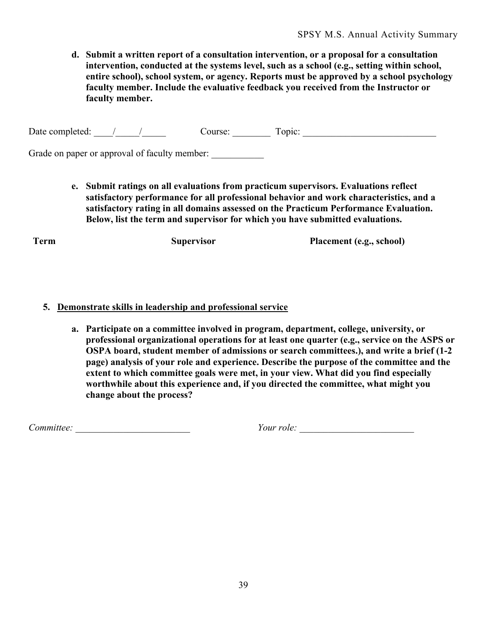**d. Submit a written report of a consultation intervention, or a proposal for a consultation intervention, conducted at the systems level, such as a school (e.g., setting within school, entire school), school system, or agency. Reports must be approved by a school psychology faculty member. Include the evaluative feedback you received from the Instructor or faculty member.**

Date completed: \_\_\_\_/\_\_\_\_\_/\_\_\_\_\_ Course: \_\_\_\_\_\_\_\_ Topic: \_\_\_\_\_\_\_\_\_\_\_\_\_\_\_\_\_\_\_\_\_\_\_\_\_\_\_\_

Grade on paper or approval of faculty member:

**e. Submit ratings on all evaluations from practicum supervisors. Evaluations reflect satisfactory performance for all professional behavior and work characteristics, and a satisfactory rating in all domains assessed on the Practicum Performance Evaluation. Below, list the term and supervisor for which you have submitted evaluations.**

**Term Supervisor Placement (e.g., school)**

#### **5. Demonstrate skills in leadership and professional service**

**a. Participate on a committee involved in program, department, college, university, or professional organizational operations for at least one quarter (e.g., service on the ASPS or OSPA board, student member of admissions or search committees.), and write a brief (1-2 page) analysis of your role and experience. Describe the purpose of the committee and the extent to which committee goals were met, in your view. What did you find especially worthwhile about this experience and, if you directed the committee, what might you change about the process?** 

*Committee: <i>Committee: <i>Your role: Pour role: Zour role: Zour role: Zour role: Zour role: Zour role: Zour role: Zour role: Zour role: Zour role: Zour role: Zour role: Zour role: Zour role:*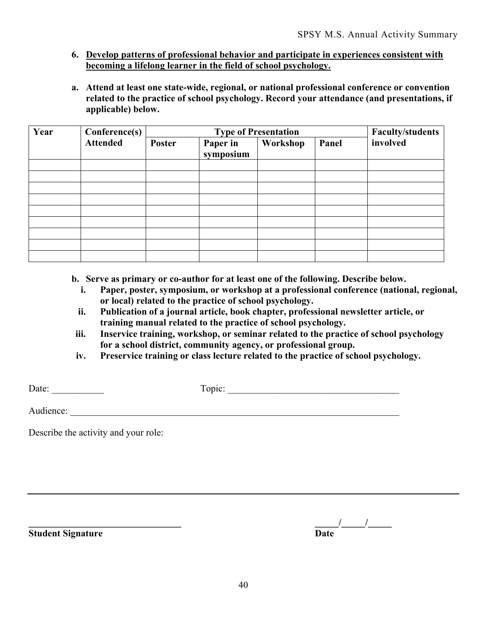# **6. Develop patterns of professional behavior and participate in experiences consistent with becoming a lifelong learner in the field of school psychology.**

**a. Attend at least one state-wide, regional, or national professional conference or convention related to the practice of school psychology. Record your attendance (and presentations, if applicable) below.**

| Year | Conference(s)   | <b>Type of Presentation</b> |                       |          |       | <b>Faculty/students</b> |
|------|-----------------|-----------------------------|-----------------------|----------|-------|-------------------------|
|      | <b>Attended</b> | <b>Poster</b>               | Paper in<br>symposium | Workshop | Panel | involved                |
|      |                 |                             |                       |          |       |                         |
|      |                 |                             |                       |          |       |                         |
|      |                 |                             |                       |          |       |                         |
|      |                 |                             |                       |          |       |                         |
|      |                 |                             |                       |          |       |                         |
|      |                 |                             |                       |          |       |                         |
|      |                 |                             |                       |          |       |                         |
|      |                 |                             |                       |          |       |                         |
|      |                 |                             |                       |          |       |                         |

- **b. Serve as primary or co-author for at least one of the following. Describe below.**
	- **i. Paper, poster, symposium, or workshop at a professional conference (national, regional, or local) related to the practice of school psychology.**
	- **ii. Publication of a journal article, book chapter, professional newsletter article, or training manual related to the practice of school psychology.**
- **iii. Inservice training, workshop, or seminar related to the practice of school psychology for a school district, community agency, or professional group.**
- **iv. Preservice training or class lecture related to the practice of school psychology.**

| ╼<br>. | . . |
|--------|-----|
|        |     |

Audience: \_\_\_\_\_\_\_\_\_\_\_\_\_\_\_\_\_\_\_\_\_\_\_\_\_\_\_\_\_\_\_\_\_\_\_\_\_\_\_\_\_\_\_\_\_\_\_\_\_\_\_\_\_\_\_\_\_\_\_\_\_\_\_\_\_\_\_\_\_

Describe the activity and your role:

**Student Signature** 

| <b>Student Signature</b> | Date |  |
|--------------------------|------|--|